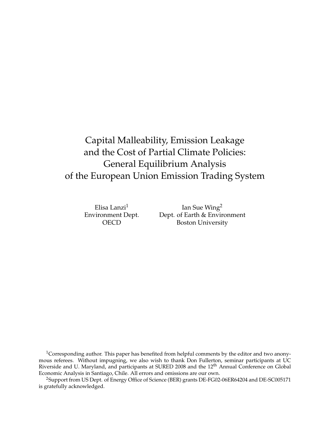# Capital Malleability, Emission Leakage and the Cost of Partial Climate Policies: General Equilibrium Analysis of the European Union Emission Trading System

Elisa Lanzi<sup>1</sup> Environment Dept. OECD

Ian Sue Wing<sup>2</sup> Dept. of Earth & Environment Boston University

<sup>1</sup>Corresponding author. This paper has benefited from helpful comments by the editor and two anonymous referees. Without impugning, we also wish to thank Don Fullerton, seminar participants at UC Riverside and U. Maryland, and participants at SURED 2008 and the 12<sup>th</sup> Annual Conference on Global Economic Analysis in Santiago, Chile. All errors and omissions are our own.

<sup>2</sup>Support from US Dept. of Energy Office of Science (BER) grants DE-FG02-06ER64204 and DE-SC005171 is gratefully acknowledged.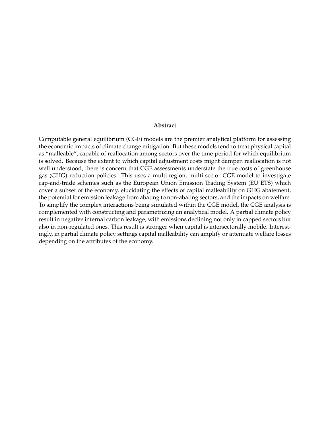#### **Abstract**

Computable general equilibrium (CGE) models are the premier analytical platform for assessing the economic impacts of climate change mitigation. But these models tend to treat physical capital as "malleable", capable of reallocation among sectors over the time-period for which equilibrium is solved. Because the extent to which capital adjustment costs might dampen reallocation is not well understood, there is concern that CGE assessments understate the true costs of greenhouse gas (GHG) reduction policies. This uses a multi-region, multi-sector CGE model to investigate cap-and-trade schemes such as the European Union Emission Trading System (EU ETS) which cover a subset of the economy, elucidating the effects of capital malleability on GHG abatement, the potential for emission leakage from abating to non-abating sectors, and the impacts on welfare. To simplify the complex interactions being simulated within the CGE model, the CGE analysis is complemented with constructing and parametrizing an analytical model. A partial climate policy result in negative internal carbon leakage, with emissions declining not only in capped sectors but also in non-regulated ones. This result is stronger when capital is intersectorally mobile. Interestingly, in partial climate policy settings capital malleability can amplify or attenuate welfare losses depending on the attributes of the economy.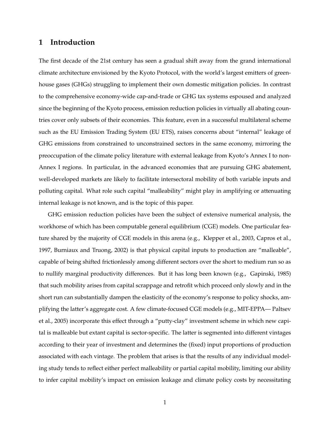## **1 Introduction**

The first decade of the 21st century has seen a gradual shift away from the grand international climate architecture envisioned by the Kyoto Protocol, with the world's largest emitters of greenhouse gases (GHGs) struggling to implement their own domestic mitigation policies. In contrast to the comprehensive economy-wide cap-and-trade or GHG tax systems espoused and analyzed since the beginning of the Kyoto process, emission reduction policies in virtually all abating countries cover only subsets of their economies. This feature, even in a successful multilateral scheme such as the EU Emission Trading System (EU ETS), raises concerns about "internal" leakage of GHG emissions from constrained to unconstrained sectors in the same economy, mirroring the preoccupation of the climate policy literature with external leakage from Kyoto's Annex I to non-Annex I regions. In particular, in the advanced economies that are pursuing GHG abatement, well-developed markets are likely to facilitate intersectoral mobility of both variable inputs and polluting capital. What role such capital "malleability" might play in amplifying or attenuating internal leakage is not known, and is the topic of this paper.

GHG emission reduction policies have been the subject of extensive numerical analysis, the workhorse of which has been computable general equilibrium (CGE) models. One particular feature shared by the majority of CGE models in this arena (e.g., Klepper et al., 2003, Capros et al., 1997, Burniaux and Truong, 2002) is that physical capital inputs to production are "malleable", capable of being shifted frictionlessly among different sectors over the short to medium run so as to nullify marginal productivity differences. But it has long been known (e.g., Gapinski, 1985) that such mobility arises from capital scrappage and retrofit which proceed only slowly and in the short run can substantially dampen the elasticity of the economy's response to policy shocks, amplifying the latter's aggregate cost. A few climate-focused CGE models (e.g., MIT-EPPA— Paltsev et al., 2005) incorporate this effect through a "putty-clay" investment scheme in which new capital is malleable but extant capital is sector-specific. The latter is segmented into different vintages according to their year of investment and determines the (fixed) input proportions of production associated with each vintage. The problem that arises is that the results of any individual modeling study tends to reflect either perfect malleability or partial capital mobility, limiting our ability to infer capital mobility's impact on emission leakage and climate policy costs by necessitating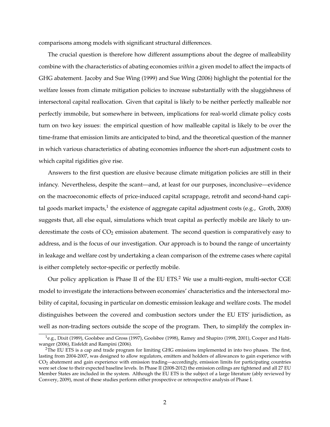comparisons among models with significant structural differences.

The crucial question is therefore how different assumptions about the degree of malleability combine with the characteristics of abating economies *within* a given model to affect the impacts of GHG abatement. Jacoby and Sue Wing (1999) and Sue Wing (2006) highlight the potential for the welfare losses from climate mitigation policies to increase substantially with the sluggishness of intersectoral capital reallocation. Given that capital is likely to be neither perfectly malleable nor perfectly immobile, but somewhere in between, implications for real-world climate policy costs turn on two key issues: the empirical question of how malleable capital is likely to be over the time-frame that emission limits are anticipated to bind, and the theoretical question of the manner in which various characteristics of abating economies influence the short-run adjustment costs to which capital rigidities give rise.

Answers to the first question are elusive because climate mitigation policies are still in their infancy. Nevertheless, despite the scant—and, at least for our purposes, inconclusive—evidence on the macroeconomic effects of price-induced capital scrappage, retrofit and second-hand capital goods market impacts,<sup>1</sup> the existence of aggregate capital adjustment costs (e.g., Groth, 2008) suggests that, all else equal, simulations which treat capital as perfectly mobile are likely to underestimate the costs of  $CO<sub>2</sub>$  emission abatement. The second question is comparatively easy to address, and is the focus of our investigation. Our approach is to bound the range of uncertainty in leakage and welfare cost by undertaking a clean comparison of the extreme cases where capital is either completely sector-specific or perfectly mobile.

Our policy application is Phase II of the EU ETS.<sup>2</sup> We use a multi-region, multi-sector CGE model to investigate the interactions between economies' characteristics and the intersectoral mobility of capital, focusing in particular on domestic emission leakage and welfare costs. The model distinguishes between the covered and combustion sectors under the EU ETS' jurisdiction, as well as non-trading sectors outside the scope of the program. Then, to simplify the complex in-

 $^1$ e.g., Dixit (1989), Goolsbee and Gross (1997), Goolsbee (1998), Ramey and Shapiro (1998, 2001), Cooper and Haltiwanger (2006), Eisfeldt and Rampini (2006).

<sup>&</sup>lt;sup>2</sup>The EU ETS is a cap and trade program for limiting GHG emissions implemented in into two phases. The first, lasting from 2004-2007, was designed to allow regulators, emitters and holders of allowances to gain experience with CO<sup>2</sup> abatement and gain experience with emission trading—accordingly, emission limits for participating countries were set close to their expected baseline levels. In Phase II (2008-2012) the emission ceilings are tightened and all 27 EU Member States are included in the system. Although the EU ETS is the subject of a large literature (ably reviewed by Convery, 2009), most of these studies perform either prospective or retrospective analysis of Phase I.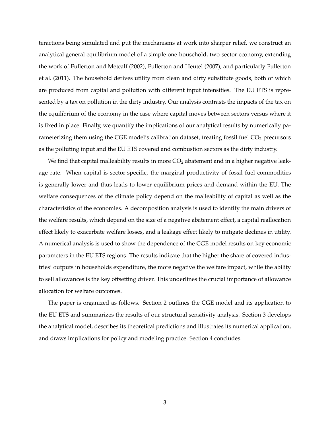teractions being simulated and put the mechanisms at work into sharper relief, we construct an analytical general equilibrium model of a simple one-household, two-sector economy, extending the work of Fullerton and Metcalf (2002), Fullerton and Heutel (2007), and particularly Fullerton et al. (2011). The household derives utility from clean and dirty substitute goods, both of which are produced from capital and pollution with different input intensities. The EU ETS is represented by a tax on pollution in the dirty industry. Our analysis contrasts the impacts of the tax on the equilibrium of the economy in the case where capital moves between sectors versus where it is fixed in place. Finally, we quantify the implications of our analytical results by numerically parameterizing them using the CGE model's calibration dataset, treating fossil fuel CO<sub>2</sub> precursors as the polluting input and the EU ETS covered and combustion sectors as the dirty industry.

We find that capital malleability results in more  $CO<sub>2</sub>$  abatement and in a higher negative leakage rate. When capital is sector-specific, the marginal productivity of fossil fuel commodities is generally lower and thus leads to lower equilibrium prices and demand within the EU. The welfare consequences of the climate policy depend on the malleability of capital as well as the characteristics of the economies. A decomposition analysis is used to identify the main drivers of the welfare results, which depend on the size of a negative abatement effect, a capital reallocation effect likely to exacerbate welfare losses, and a leakage effect likely to mitigate declines in utility. A numerical analysis is used to show the dependence of the CGE model results on key economic parameters in the EU ETS regions. The results indicate that the higher the share of covered industries' outputs in households expenditure, the more negative the welfare impact, while the ability to sell allowances is the key offsetting driver. This underlines the crucial importance of allowance allocation for welfare outcomes.

The paper is organized as follows. Section 2 outlines the CGE model and its application to the EU ETS and summarizes the results of our structural sensitivity analysis. Section 3 develops the analytical model, describes its theoretical predictions and illustrates its numerical application, and draws implications for policy and modeling practice. Section 4 concludes.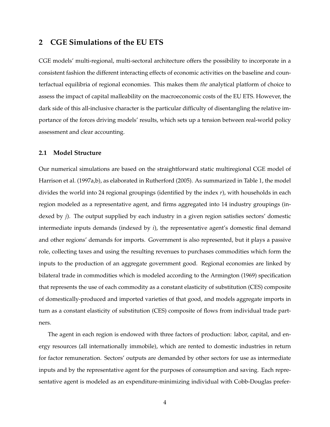## **2 CGE Simulations of the EU ETS**

CGE models' multi-regional, multi-sectoral architecture offers the possibility to incorporate in a consistent fashion the different interacting effects of economic activities on the baseline and counterfactual equilibria of regional economies. This makes them *the* analytical platform of choice to assess the impact of capital malleability on the macroeconomic costs of the EU ETS. However, the dark side of this all-inclusive character is the particular difficulty of disentangling the relative importance of the forces driving models' results, which sets up a tension between real-world policy assessment and clear accounting.

### **2.1 Model Structure**

Our numerical simulations are based on the straightforward static multiregional CGE model of Harrison et al. (1997a,b), as elaborated in Rutherford (2005). As summarized in Table 1, the model divides the world into 24 regional groupings (identified by the index *r*), with households in each region modeled as a representative agent, and firms aggregated into 14 industry groupings (indexed by *j*). The output supplied by each industry in a given region satisfies sectors' domestic intermediate inputs demands (indexed by *i*), the representative agent's domestic final demand and other regions' demands for imports. Government is also represented, but it plays a passive role, collecting taxes and using the resulting revenues to purchases commodities which form the inputs to the production of an aggregate government good. Regional economies are linked by bilateral trade in commodities which is modeled according to the Armington (1969) specification that represents the use of each commodity as a constant elasticity of substitution (CES) composite of domestically-produced and imported varieties of that good, and models aggregate imports in turn as a constant elasticity of substitution (CES) composite of flows from individual trade partners.

The agent in each region is endowed with three factors of production: labor, capital, and energy resources (all internationally immobile), which are rented to domestic industries in return for factor remuneration. Sectors' outputs are demanded by other sectors for use as intermediate inputs and by the representative agent for the purposes of consumption and saving. Each representative agent is modeled as an expenditure-minimizing individual with Cobb-Douglas prefer-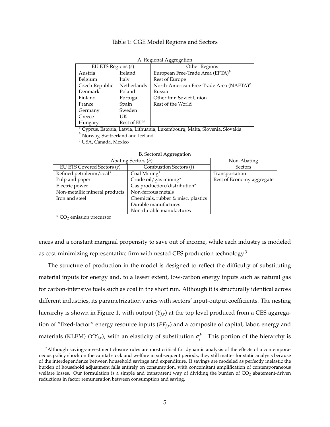### Table 1: CGE Model Regions and Sectors

|                    |                | A. Regional Agglegation                             |
|--------------------|----------------|-----------------------------------------------------|
| EU ETS Regions (s) |                | Other Regions                                       |
| Austria            | Ireland        | European Free-Trade Area (EFTA) <sup>b</sup>        |
| Belgium            | Italy          | Rest of Europe                                      |
| Czech Republic     | Netherlands    | North-American Free-Trade Area (NAFTA) <sup>c</sup> |
| Denmark            | Poland         | Russia                                              |
| Finland            | Portugal       | Other fmr. Soviet Union                             |
| France             | Spain          | Rest of the World                                   |
| Germany            | Sweden         |                                                     |
| Greece             | UK             |                                                     |
| Hungary            | Rest of $EU^a$ |                                                     |

*<sup>a</sup>* Cyprus, Estonia, Latvia, Lithuania, Luxembourg, Malta, Slovenia, Slovakia

*<sup>b</sup>* Norway, Switzerland and Iceland

*<sup>c</sup>* USA, Canada, Mexico

|  |  | <b>B.</b> Sectoral Aggregation |
|--|--|--------------------------------|
|--|--|--------------------------------|

|                               | Abating Sectors (h)                | Non-Abating               |
|-------------------------------|------------------------------------|---------------------------|
| EU ETS Covered Sectors (c)    | Combustion Sectors (1)             | Sectors                   |
| Refined petroleum/coal*       | Coal Mining*                       | Transportation            |
| Pulp and paper                | Crude oil/gas mining*              | Rest of Economy aggregate |
| Electric power                | Gas production/distribution*       |                           |
| Non-metallic mineral products | Non-ferrous metals                 |                           |
| Iron and steel                | Chemicals, rubber & misc. plastics |                           |
|                               | Durable manufactures               |                           |
|                               | Non-durable manufactures           |                           |

 $*$  CO<sub>2</sub> emission precursor

ences and a constant marginal propensity to save out of income, while each industry is modeled as cost-minimizing representative firm with nested CES production technology.<sup>3</sup>

The structure of production in the model is designed to reflect the difficulty of substituting material inputs for energy and, to a lesser extent, low-carbon energy inputs such as natural gas for carbon-intensive fuels such as coal in the short run. Although it is structurally identical across different industries, its parametrization varies with sectors' input-output coefficients. The nesting hierarchy is shown in Figure 1, with output (*Yj*,*<sup>r</sup>* ) at the top level produced from a CES aggregation of "fixed-factor" energy resource inputs (*FFj*,*<sup>r</sup>* ) and a composite of capital, labor, energy and materials (KLEM) ( $YY_{j,r}$ ), with an elasticity of substitution  $\sigma_j^F$ . This portion of the hierarchy is

<sup>3</sup>Although savings-investment closure rules are most critical for dynamic analysis of the effects of a contemporaneous policy shock on the capital stock and welfare in subsequent periods, they still matter for static analysis because of the interdependence between household savings and expenditure. If savings are modeled as perfectly inelastic the burden of household adjustment falls entirely on consumption, with concomitant amplification of contemporaneous welfare losses. Our formulation is a simple and transparent way of dividing the burden of CO<sub>2</sub> abatement-driven reductions in factor remuneration between consumption and saving.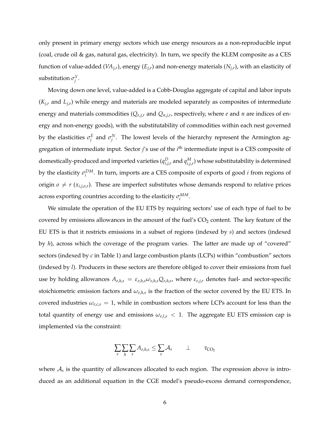only present in primary energy sectors which use energy resources as a non-reproducible input (coal, crude oil & gas, natural gas, electricity). In turn, we specify the KLEM composite as a CES function of value-added (*VAj*,*<sup>r</sup>* ), energy (*Ej*,*<sup>r</sup>* ) and non-energy materials (*Nj*,*<sup>r</sup>* ), with an elasticity of substitution  $\sigma_j^Y$ .

Moving down one level, value-added is a Cobb-Douglas aggregate of capital and labor inputs (*Kj*,*<sup>r</sup>* and *Lj*,*<sup>r</sup>* ) while energy and materials are modeled separately as composites of intermediate energy and materials commodities (*Qe*,*j*,*<sup>r</sup>* and *Qn*,*j*,*<sup>r</sup>* , respectively, where *e* and *n* are indices of energy and non-energy goods), with the substitutability of commodities within each nest governed by the elasticities  $\sigma_j^E$  and  $\sigma_j^N$ . The lowest levels of the hierarchy represent the Armington aggregation of intermediate input. Sector *j*'s use of the *i* th intermediate input is a CES composite of domestically-produced and imported varieties  $(q_{i,j,r}^D$  and  $q_{i,j,r}^M$ ) whose substitutability is determined by the elasticity  $\sigma_i^{DM}$ . In turn, imports are a CES composite of exports of good *i* from regions of origin  $o \neq r$  ( $x_{i,j,o,r}$ ). These are imperfect substitutes whose demands respond to relative prices across exporting countries according to the elasticity  $\sigma_i^{MM}$ .

We simulate the operation of the EU ETS by requiring sectors' use of each type of fuel to be covered by emissions allowances in the amount of the fuel's  $CO<sub>2</sub>$  content. The key feature of the EU ETS is that it restricts emissions in a subset of regions (indexed by *s*) and sectors (indexed by *h*), across which the coverage of the program varies. The latter are made up of "covered" sectors (indexed by *c* in Table 1) and large combustion plants (LCPs) within "combustion" sectors (indexed by *l*). Producers in these sectors are therefore obliged to cover their emissions from fuel use by holding allowances  $A_{e,h,s} = \varepsilon_{e,h,s} \omega_{e,h,s} Q_{e,h,s}$ , where  $\varepsilon_{e,j,r}$  denotes fuel- and sector-specific stoichiometric emission factors and  $\omega_{e,h,s}$  is the fraction of the sector covered by the EU ETS. In covered industries  $\omega_{e,c,s} = 1$ , while in combustion sectors where LCPs account for less than the total quantity of energy use and emissions *ωe*,*l*,*<sup>s</sup>* < 1. The aggregate EU ETS emission cap is implemented via the constraint:

$$
\sum_{e}\sum_{h}\sum_{s}A_{e,h,s}\leq \sum_{s}\mathcal{A}_{s}\qquad \perp \qquad \tau_{CO_2}
$$

where  $A_s$  is the quantity of allowances allocated to each region. The expression above is introduced as an additional equation in the CGE model's pseudo-excess demand correspondence,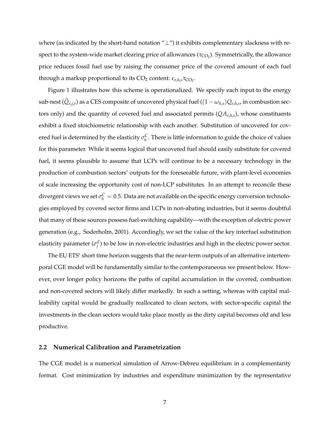where (as indicated by the short-hand notation "⊥") it exhibits complementary slackness with respect to the system-wide market clearing price of allowances ( $\tau_{\rm CO_2}$ ). Symmetrically, the allowance price reduces fossil fuel use by raising the consumer price of the covered amount of each fuel through a markup proportional to its CO<sub>2</sub> content: *ε<sub>ε,h,s</sub>* τ<sub>CO2</sub>.

Figure 1 illustrates how this scheme is operationalized. We specify each input to the energy sub-nest ( $Q_{e,j,r}$ ) as a CES composite of uncovered physical fuel (( $1-\omega_{h,s})Q_{e,h,s}$ , in combustion sectors only) and the quantity of covered fuel and associated permits (*QAe*,*h*,*<sup>s</sup>* ), whose constituents exhibit a fixed stoichiometric relationship with each another. Substitution of uncovered for covered fuel is determined by the elasticity  $\sigma_h^C$ . There is little information to guide the choice of values for this parameter. While it seems logical that uncovered fuel should easily substitute for covered fuel, it seems plausible to assume that LCPs will continue to be a necessary technology in the production of combustion sectors' outputs for the foreseeable future, with plant-level economies of scale increasing the opportunity cost of non-LCP substitutes. In an attempt to reconcile these divergent views we set  $\sigma_h^C = 0.5$ . Data are not available on the specific energy conversion technologies employed by covered sector firms and LCPs in non-abating industries, but it seems doubtful that many of these sources possess fuel-switching capability—with the exception of electric power generation (e.g., Soderholm, 2001). Accordingly, we set the value of the key interfuel substitution elasticity parameter  $(\sigma_j^E)$  to be low in non-electric industries and high in the electric power sector.

The EU ETS' short time horizon suggests that the near-term outputs of an alternative intertemporal CGE model will be fundamentally similar to the contemporaneous we present below. However, over longer policy horizons the paths of capital accumulation in the covered, combustion and non-covered sectors will likely differ markedly. In such a setting, whereas with capital malleability capital would be gradually reallocated to clean sectors, with sector-specific capital the investments in the clean sectors would take place mostly as the dirty capital becomes old and less productive.

### **2.2 Numerical Calibration and Parametrization**

The CGE model is a numerical simulation of Arrow-Debreu equilibrium in a complementarity format. Cost minimization by industries and expenditure minimization by the representative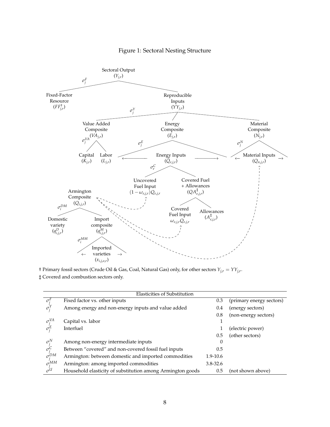## Figure 1: Sectoral Nesting Structure



† Primary fossil sectors (Crude Oil & Gas, Coal, Natural Gas) only, for other sectors *Yj*,*<sup>r</sup>* = *YYj*,*<sup>r</sup>* .

‡ Covered and combustion sectors only.

|                                 | Elasticities of Substitution                               |              |                          |
|---------------------------------|------------------------------------------------------------|--------------|--------------------------|
| $\sigma^r$                      | Fixed factor vs. other inputs                              | 0.3          | (primary energy sectors) |
|                                 | Among energy and non-energy inputs and value added         | 0.4          | (energy sectors)         |
|                                 |                                                            | 0.8          | (non-energy sectors)     |
| $\sigma_i^{VA}$                 | Capital vs. labor                                          |              |                          |
|                                 | Interfuel                                                  |              | (electric power)         |
|                                 |                                                            | 0.5          | (other sectors)          |
| $\sigma_i^N$                    | Among non-energy intermediate inputs                       | $\theta$     |                          |
|                                 | Between "covered" and non-covered fossil fuel inputs       | 0.5          |                          |
| $\sigma_j^C$<br>$\sigma_j^{DM}$ | Armington: between domestic and imported commodities       | 1.9-10.6     |                          |
| $\sigma_i^{MM}$                 | Armington: among imported commodities                      | $3.8 - 32.6$ |                          |
| $\sigma^{U}$                    | Household elasticity of substitution among Armington goods | 0.5          | (not shown above)        |
|                                 |                                                            |              |                          |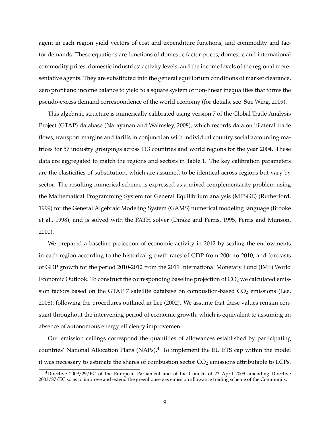agent in each region yield vectors of cost and expenditure functions, and commodity and factor demands. These equations are functions of domestic factor prices, domestic and international commodity prices, domestic industries' activity levels, and the income levels of the regional representative agents. They are substituted into the general equilibrium conditions of market clearance, zero profit and income balance to yield to a square system of non-linear inequalities that forms the pseudo-excess demand correspondence of the world economy (for details, see Sue Wing, 2009).

This algebraic structure is numerically calibrated using version 7 of the Global Trade Analysis Project (GTAP) database (Narayanan and Walmsley, 2008), which records data on bilateral trade flows, transport margins and tariffs in conjunction with individual country social accounting matrices for 57 industry groupings across 113 countries and world regions for the year 2004. These data are aggregated to match the regions and sectors in Table 1. The key calibration parameters are the elasticities of substitution, which are assumed to be identical across regions but vary by sector. The resulting numerical scheme is expressed as a mixed complementarity problem using the Mathematical Programming System for General Equilibrium analysis (MPSGE) (Rutherford, 1999) for the General Algebraic Modeling System (GAMS) numerical modeling language (Brooke et al., 1998), and is solved with the PATH solver (Dirske and Ferris, 1995, Ferris and Munson, 2000).

We prepared a baseline projection of economic activity in 2012 by scaling the endowments in each region according to the historical growth rates of GDP from 2004 to 2010, and forecasts of GDP growth for the period 2010-2012 from the 2011 International Monetary Fund (IMF) World Economic Outlook. To construct the corresponding baseline projection of  $CO<sub>2</sub>$  we calculated emission factors based on the GTAP 7 satellite database on combustion-based  $CO<sub>2</sub>$  emissions (Lee, 2008), following the procedures outlined in Lee (2002). We assume that these values remain constant throughout the intervening period of economic growth, which is equivalent to assuming an absence of autonomous energy efficiency improvement.

Our emission ceilings correspond the quantities of allowances established by participating countries' National Allocation Plans (NAPs). $4$  To implement the EU ETS cap within the model it was necessary to estimate the shares of combustion sector  $CO<sub>2</sub>$  emissions attributable to LCPs.

<sup>4</sup>Directive 2009/29/EC of the European Parliament and of the Council of 23 April 2009 amending Directive 2003/87/EC so as to improve and extend the greenhouse gas emission allowance trading scheme of the Community.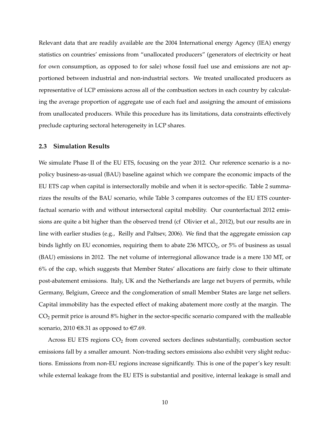Relevant data that are readily available are the 2004 International energy Agency (IEA) energy statistics on countries' emissions from "unallocated producers" (generators of electricity or heat for own consumption, as opposed to for sale) whose fossil fuel use and emissions are not apportioned between industrial and non-industrial sectors. We treated unallocated producers as representative of LCP emissions across all of the combustion sectors in each country by calculating the average proportion of aggregate use of each fuel and assigning the amount of emissions from unallocated producers. While this procedure has its limitations, data constraints effectively preclude capturing sectoral heterogeneity in LCP shares.

#### **2.3 Simulation Results**

We simulate Phase II of the EU ETS, focusing on the year 2012. Our reference scenario is a nopolicy business-as-usual (BAU) baseline against which we compare the economic impacts of the EU ETS cap when capital is intersectorally mobile and when it is sector-specific. Table 2 summarizes the results of the BAU scenario, while Table 3 compares outcomes of the EU ETS counterfactual scenario with and without intersectoral capital mobility. Our counterfactual 2012 emissions are quite a bit higher than the observed trend (cf Olivier et al., 2012), but our results are in line with earlier studies (e.g., Reilly and Paltsev, 2006). We find that the aggregate emission cap binds lightly on EU economies, requiring them to abate 236 MTCO<sub>2</sub>, or  $5\%$  of business as usual (BAU) emissions in 2012. The net volume of interregional allowance trade is a mere 130 MT, or 6% of the cap, which suggests that Member States' allocations are fairly close to their ultimate post-abatement emissions. Italy, UK and the Netherlands are large net buyers of permits, while Germany, Belgium, Greece and the conglomeration of small Member States are large net sellers. Capital immobility has the expected effect of making abatement more costly at the margin. The CO<sup>2</sup> permit price is around 8% higher in the sector-specific scenario compared with the malleable scenario, 2010  $\in$ 8.31 as opposed to  $\in$ 7.69.

Across EU ETS regions  $CO<sub>2</sub>$  from covered sectors declines substantially, combustion sector emissions fall by a smaller amount. Non-trading sectors emissions also exhibit very slight reductions. Emissions from non-EU regions increase significantly. This is one of the paper's key result: while external leakage from the EU ETS is substantial and positive, internal leakage is small and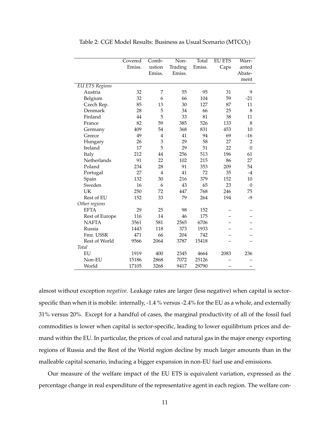|                       | Covered | Comb-          | Non-    | Total  | <b>EU ETS</b> | Warr-          |
|-----------------------|---------|----------------|---------|--------|---------------|----------------|
|                       | Emiss.  | ustion         | Trading | Emiss. | Caps          | anted          |
|                       |         | Emiss.         | Emiss.  |        |               | Abate-         |
|                       |         |                |         |        |               | ment           |
| <b>EU ETS Regions</b> |         |                |         |        |               |                |
| Austria               | 32      | 7              | 55      | 95     | 31            | 9              |
| Belgium               | 32      | 6              | 66      | 104    | 59            | $-21$          |
| Czech Rep.            | 85      | 13             | 30      | 127    | 87            | 11             |
| Denmark               | 28      | 5              | 34      | 66     | 25            | 8              |
| Finland               | 44      | 5              | 33      | 81     | 38            | 11             |
| France                | 82      | 59             | 385     | 526    | 133           | $\,8\,$        |
| Germany               | 409     | 54             | 368     | 831    | 453           | 10             |
| Greece                | 49      | $\overline{4}$ | 41      | 94     | 69            | $-16$          |
| Hungary               | 26      | 3              | 29      | 58     | 27            | $\overline{2}$ |
| Ireland               | 17      | 5              | 29      | 51     | 22            | $\mathbf{0}$   |
| Italy                 | 212     | 44             | 256     | 513    | 196           | 61             |
| Netherlands           | 91      | 22             | 102     | 215    | 86            | 27             |
| Poland                | 234     | 28             | 91      | 353    | 209           | 54             |
| Portugal              | 27      | $\overline{4}$ | 41      | 72     | 35            | $-4$           |
| Spain                 | 132     | 30             | 216     | 379    | 152           | 10             |
| Sweden                | 16      | 6              | 43      | 65     | 23            | $\theta$       |
| UK                    | 250     | 72             | 447     | 768    | 246           | 75             |
| Rest of EU            | 152     | 33             | 79      | 264    | 194           | $-9$           |
| Other regions         |         |                |         |        |               |                |
| <b>EFTA</b>           | 29      | 25             | 98      | 152    |               |                |
| Rest of Europe        | 116     | 14             | 46      | 175    |               |                |
| <b>NAFTA</b>          | 3561    | 581            | 2565    | 6706   |               |                |
| Russia                | 1443    | 118            | 373     | 1933   |               |                |
| Fmr. USSR             | 471     | 66             | 204     | 742    |               |                |
| Rest of World         | 9566    | 2064           | 3787    | 15418  |               |                |
| Total                 |         |                |         |        |               |                |
| EU                    | 1919    | 400            | 2345    | 4664   | 2083          | 236            |
| Non-EU                | 15186   | 2868           | 7072    | 25126  |               |                |
| World                 | 17105   | 3268           | 9417    | 29790  |               |                |

Table 2: CGE Model Results: Business as Usual Scenario  $(MTCO<sub>2</sub>)$ 

almost without exception *negative*. Leakage rates are larger (less negative) when capital is sectorspecific than when it is mobile: internally, -1.4 % versus -2.4% for the EU as a whole, and externally 31% versus 20%. Except for a handful of cases, the marginal productivity of all of the fossil fuel commodities is lower when capital is sector-specific, leading to lower equilibrium prices and demand within the EU. In particular, the prices of coal and natural gas in the major energy exporting regions of Russia and the Rest of the World region decline by much larger amounts than in the malleable capital scenario, inducing a bigger expansion in non-EU fuel use and emissions.

Our measure of the welfare impact of the EU ETS is equivalent variation, expressed as the percentage change in real expenditure of the representative agent in each region. The welfare con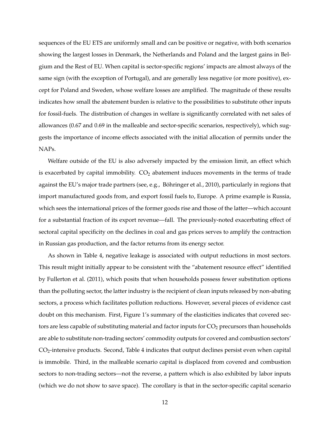sequences of the EU ETS are uniformly small and can be positive or negative, with both scenarios showing the largest losses in Denmark, the Netherlands and Poland and the largest gains in Belgium and the Rest of EU. When capital is sector-specific regions' impacts are almost always of the same sign (with the exception of Portugal), and are generally less negative (or more positive), except for Poland and Sweden, whose welfare losses are amplified. The magnitude of these results indicates how small the abatement burden is relative to the possibilities to substitute other inputs for fossil-fuels. The distribution of changes in welfare is significantly correlated with net sales of allowances (0.67 and 0.69 in the malleable and sector-specific scenarios, respectively), which suggests the importance of income effects associated with the initial allocation of permits under the NAPs.

Welfare outside of the EU is also adversely impacted by the emission limit, an effect which is exacerbated by capital immobility.  $CO<sub>2</sub>$  abatement induces movements in the terms of trade against the EU's major trade partners (see, e.g., Böhringer et al., 2010), particularly in regions that import manufactured goods from, and export fossil fuels to, Europe. A prime example is Russia, which sees the international prices of the former goods rise and those of the latter—which account for a substantial fraction of its export revenue—fall. The previously-noted exacerbating effect of sectoral capital specificity on the declines in coal and gas prices serves to amplify the contraction in Russian gas production, and the factor returns from its energy sector.

As shown in Table 4, negative leakage is associated with output reductions in most sectors. This result might initially appear to be consistent with the "abatement resource effect" identified by Fullerton et al. (2011), which posits that when households possess fewer substitution options than the polluting sector, the latter industry is the recipient of clean inputs released by non-abating sectors, a process which facilitates pollution reductions. However, several pieces of evidence cast doubt on this mechanism. First, Figure 1's summary of the elasticities indicates that covered sectors are less capable of substituting material and factor inputs for  $CO<sub>2</sub>$  precursors than households are able to substitute non-trading sectors' commodity outputs for covered and combustion sectors'  $CO<sub>2</sub>$ -intensive products. Second, Table 4 indicates that output declines persist even when capital is immobile. Third, in the malleable scenario capital is displaced from covered and combustion sectors to non-trading sectors—not the reverse, a pattern which is also exhibited by labor inputs (which we do not show to save space). The corollary is that in the sector-specific capital scenario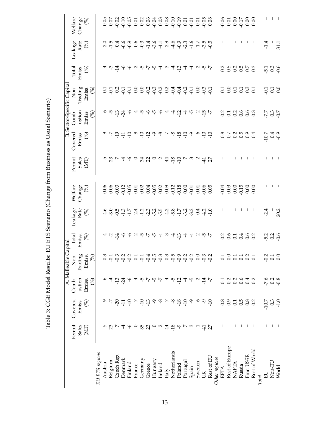|                |                  |                                           |                  | A. Malleable                                                                                                                                              | Capital                                                                |                                                              |                                                         |                   |                         |                                                                     | <b>B.</b> Sector-Specific Capita |                         |                                                                          |                                                            |
|----------------|------------------|-------------------------------------------|------------------|-----------------------------------------------------------------------------------------------------------------------------------------------------------|------------------------------------------------------------------------|--------------------------------------------------------------|---------------------------------------------------------|-------------------|-------------------------|---------------------------------------------------------------------|----------------------------------|-------------------------|--------------------------------------------------------------------------|------------------------------------------------------------|
|                | Permit           | Covered                                   | Comb             | $\overline{\text{Non}}$                                                                                                                                   | Total                                                                  |                                                              | Welfare                                                 | Permit            | Covered                 | $Comb$ -                                                            | Non-                             | Total                   | Leakage                                                                  | Welfare                                                    |
|                | Sales<br>(MT)    | $($ %)<br>Emiss.                          | ustion<br>Emiss. | Trading<br>Emiss.                                                                                                                                         | Emiss.<br>$\left(\!\begin{smallmatrix} 0\\0\end{smallmatrix}\!\right)$ | Leakage Rate $Rate$                                          | $\begin{array}{c} \rm{Change} \\ \rm{(}\%) \end{array}$ | Sales<br>(MT)     | $\mathcal{S}$<br>Emiss. | ustion<br>Emiss.                                                    | Trading<br>Emiss.                | $\mathcal{E}$<br>Emiss. | Rate $\left(\begin{smallmatrix} 9 & 0 \\ 0 & 0 \end{smallmatrix}\right)$ | $\begin{array}{c} \text{Change} \\ \text{(%)} \end{array}$ |
|                |                  |                                           | (%)              | $\mathcal{E}$                                                                                                                                             |                                                                        |                                                              |                                                         |                   |                         | (%)                                                                 | $\mathcal{S}$                    |                         |                                                                          |                                                            |
| EU ETS regions |                  |                                           |                  |                                                                                                                                                           |                                                                        |                                                              |                                                         |                   |                         |                                                                     |                                  |                         |                                                                          |                                                            |
| Austria        |                  |                                           |                  | ن<br>ج                                                                                                                                                    |                                                                        |                                                              |                                                         |                   |                         |                                                                     |                                  | 4                       |                                                                          |                                                            |
| Belgium        | 23               | $\tilde{L}$                               | 4                | Ģ                                                                                                                                                         |                                                                        |                                                              |                                                         |                   |                         |                                                                     |                                  | $\omega$ $\frac{1}{4}$  |                                                                          |                                                            |
| Czech Rep.     | $\triangleright$ | $9777$ $997$                              | $-13$            | ë de d                                                                                                                                                    | すいさん                                                                   | <i>んの530.123.25.28.2.2.</i><br>4.30.1.1.2.2.5.2.4.5.2.2.4.2. |                                                         | <b>ちぴァムゆっぱぴっと</b> | 이 더 위 뒤 무 여 무 워         | $\varphi$ is $\stackrel{\sim}{\Gamma}$ is $\stackrel{\sim}{\gamma}$ |                                  |                         | $20.5$<br>$-1.5$<br>$-1.5$                                               |                                                            |
| Denmark        |                  |                                           | $\frac{5}{4}$    |                                                                                                                                                           |                                                                        |                                                              |                                                         |                   |                         |                                                                     |                                  |                         |                                                                          |                                                            |
| Finland        | ې                |                                           |                  |                                                                                                                                                           | そうさいさん                                                                 |                                                              |                                                         |                   |                         | $\varphi$                                                           |                                  |                         | G O G O H O H O G O G O H H O G<br>O O G O H O H O H O G O H H O O       |                                                            |
| France         | $\circ$          |                                           |                  |                                                                                                                                                           |                                                                        |                                                              |                                                         |                   |                         | F,                                                                  |                                  |                         |                                                                          |                                                            |
| Germany        | 35 <sub>23</sub> |                                           | ယု               | $-5$                                                                                                                                                      |                                                                        |                                                              |                                                         |                   |                         | ယု                                                                  |                                  |                         |                                                                          |                                                            |
| Greece         |                  |                                           | $\sum_{i=1}^{n}$ | $\ddot{q}$ $\ddot{q}$ $\ddot{q}$ $\ddot{q}$ $\ddot{q}$ $\ddot{q}$ $\ddot{q}$ $\ddot{q}$ $\ddot{q}$ $\ddot{q}$ $\ddot{q}$ $\ddot{q}$ $\ddot{q}$ $\ddot{q}$ |                                                                        |                                                              |                                                         |                   |                         |                                                                     |                                  | やくさいさ                   |                                                                          |                                                            |
| Hungary        | $\circ$          | $\mathcal{L}$                             | ယု               |                                                                                                                                                           |                                                                        |                                                              |                                                         |                   | م                       | ې ې ې                                                               |                                  |                         |                                                                          |                                                            |
| Ireland        | $\sim$           | ن ی                                       | Ņ                |                                                                                                                                                           |                                                                        |                                                              |                                                         |                   |                         |                                                                     |                                  | T                       |                                                                          |                                                            |
| Italy          | $\frac{44}{5}$   |                                           | 4                |                                                                                                                                                           | ကု                                                                     |                                                              |                                                         | $\frac{1}{4}$     | ن پ                     | Ţ                                                                   |                                  | ကု                      |                                                                          |                                                            |
| Netherlands    | $-18$            | $\sim$                                    | ယု               |                                                                                                                                                           | 4 ವ                                                                    |                                                              |                                                         |                   | ಳಿ                      | 4                                                                   |                                  | 4                       |                                                                          |                                                            |
| Poland         | م                | $-18$                                     | $-12$            |                                                                                                                                                           |                                                                        |                                                              |                                                         | $\frac{80}{6}$    | $-18$                   | $-12$                                                               |                                  | $-13$                   |                                                                          |                                                            |
| Portugal       |                  | $-10$                                     | ₹                |                                                                                                                                                           |                                                                        |                                                              |                                                         |                   | $-10$                   |                                                                     |                                  | 4                       |                                                                          |                                                            |
| Spain          | $\omega$         | $\mathcal{S}$                             | ယု               |                                                                                                                                                           | す す い 心 い                                                              |                                                              |                                                         |                   | م                       | す や ら お レ                                                           |                                  |                         |                                                                          |                                                            |
| Sweden         |                  | $\mathfrak{h}$                            | Ņ                | $\overline{0}$ .                                                                                                                                          |                                                                        |                                                              |                                                         |                   | $\varphi$               |                                                                     |                                  |                         |                                                                          |                                                            |
| Ř              | $\ddot{+}$       | $\mathcal{S}$                             | $-14$            | ဒု ဒု                                                                                                                                                     |                                                                        |                                                              |                                                         | $\frac{4}{7}$     | $-10$                   |                                                                     |                                  | すうさい                    |                                                                          |                                                            |
| Rest of EU     | 27               | $-10$                                     | $\tilde{L}$      |                                                                                                                                                           |                                                                        |                                                              |                                                         |                   | $-10$                   |                                                                     |                                  |                         |                                                                          |                                                            |
| Other regions  |                  |                                           |                  |                                                                                                                                                           |                                                                        |                                                              |                                                         |                   |                         |                                                                     |                                  |                         |                                                                          |                                                            |
| EFTA           |                  | 0.8                                       | $\overline{0}$ : | $\overline{c}$                                                                                                                                            |                                                                        |                                                              |                                                         |                   |                         |                                                                     |                                  |                         |                                                                          |                                                            |
| Rest of Europe |                  | 0.9                                       | 0.2              | $rac{1}{6}$ $rac{1}{6}$                                                                                                                                   | $\frac{0.6}{0.5}$                                                      |                                                              |                                                         |                   |                         |                                                                     |                                  |                         |                                                                          |                                                            |
| <b>NAFTA</b>   |                  | $\begin{array}{c} 0.5 \\ 0.5 \end{array}$ |                  |                                                                                                                                                           |                                                                        |                                                              |                                                         |                   |                         |                                                                     |                                  |                         |                                                                          |                                                            |
| Russia         |                  |                                           | $\overline{0.6}$ |                                                                                                                                                           | 0.4                                                                    |                                                              |                                                         |                   | 0.505                   |                                                                     |                                  |                         |                                                                          |                                                            |
| Fmr. USSR      |                  | 0.8                                       | 0.4              | $\frac{0.7}{0.1}$                                                                                                                                         | 0.6                                                                    |                                                              |                                                         |                   | 0.9                     | 3738883                                                             | 585585                           | 353553                  |                                                                          |                                                            |
| Rest of World  |                  | 0.2                                       | 0.2              |                                                                                                                                                           |                                                                        |                                                              |                                                         |                   | 0.4                     |                                                                     |                                  |                         |                                                                          |                                                            |
| <b>Total</b>   |                  |                                           |                  |                                                                                                                                                           |                                                                        |                                                              |                                                         |                   |                         |                                                                     |                                  |                         |                                                                          |                                                            |
| $E_{\rm}$      |                  | $-10.7$                                   | $-7.6$           | $\overline{Q}$                                                                                                                                            | 5<br>5<br>5<br>5<br>5<br>5<br>5                                        | $-2.4$                                                       |                                                         |                   | $-10.7$                 | 7, 3, 7<br>7, 3, 7,                                                 | 558                              | $5.3$<br>$0.3$<br>$9.6$ | $-1.4$                                                                   |                                                            |
| Non-EU         |                  | 0.3                                       | 0.2              | $\overline{c}$                                                                                                                                            |                                                                        |                                                              |                                                         |                   | $^{0.0}$                |                                                                     |                                  |                         |                                                                          |                                                            |
| World          |                  | $-1.0$                                    | $-0.8$           | $\sum_{i=1}^{n}$                                                                                                                                          |                                                                        | 20.2                                                         |                                                         |                   |                         |                                                                     |                                  |                         | 31.1                                                                     |                                                            |

Table 3: CGE Model Results: EU ETS Scenario (Change from Business as Usual Scenario) Table 3: CGE Model Results: EU ETS Scenario (Change from Business as Usual Scenario)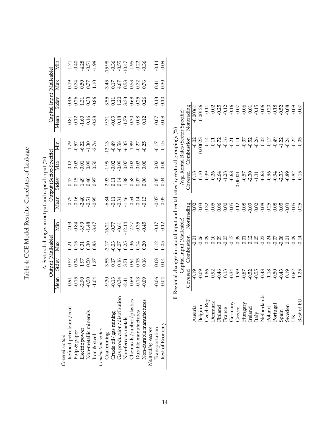| くういつ<br>١<br>ľ<br>$\overline{\epsilon}$                            |
|--------------------------------------------------------------------|
| $\tilde{\zeta}$<br>(                                               |
| $\mathfrak{g}$                                                     |
| $\mathbf$<br>֖֖֖֖֖֧֚֚֚֚֚֚֚֚֚֚֚֚֚֚֚֚֚֚֚֚֚֚֚֡ <u>֟</u><br> <br> <br> |
| $\frac{1}{2}$<br>$\overline{a}$                                    |

|                             |              |                  |                           |                    | A. Sectoral changes in output and capital input (%)                          |                                   |                    |               |                                         |                                    |                                      |                               |
|-----------------------------|--------------|------------------|---------------------------|--------------------|------------------------------------------------------------------------------|-----------------------------------|--------------------|---------------|-----------------------------------------|------------------------------------|--------------------------------------|-------------------------------|
|                             | Mean         | Stdev            | Output (Malleable)<br>Max | Min                | Mean                                                                         | Output (Sector-Specific)<br>Stdev | Max                | Min           | Mean                                    | Capital Input (Malleable)<br>Stdev | Max                                  | Min                           |
| Covered sectors             |              |                  |                           |                    |                                                                              |                                   |                    |               |                                         |                                    |                                      |                               |
| Refined petroleum/coal      | $-0.91$      | 0.57             | $-0.21$<br>0.15           | $-2.03$            | $-0.75$                                                                      |                                   | 0.12               | $-1.79$       | $-0.81$<br>0.12                         |                                    | $-0.19$                              | $-1.71$                       |
| Pulp & paper                | $-0.15$      | 0.24             |                           | $-0.84$            |                                                                              | $0.47$<br>0.15                    |                    | $-0.57$       |                                         | 0.46<br>0.26                       |                                      | $-0.40$                       |
| Electric power              | $-2.90$      | 1.97             | 0.31                      | $-6.99$            |                                                                              | 4.49                              | $-0.01$            | $-6.22$       | $-1.60$                                 |                                    |                                      | $-4.28$                       |
| Non-metallic minerals       | $-0.50$      | $0.50$<br>$1.27$ | $0.30$<br>$0.83$          | $-1.48$            | $2.51$<br>$0.55$<br>$0.95$                                                   | 0.40                              | 0.09               | $-1.30$       | 0.16                                    | 1.31<br>0.33<br>0.86               | $0.74$<br>$0.50$<br>$0.77$<br>$1.10$ | $-0.51$<br>$-1.98$            |
| Iron & steel                | $-1.04$      |                  |                           | $-3.47$            |                                                                              | 0.97                              | 0.50               | $-2.76$       | $-0.28$                                 |                                    |                                      |                               |
| Combustion sectors          |              |                  |                           |                    |                                                                              |                                   |                    |               |                                         |                                    |                                      |                               |
| Coal mining                 | 9.30<br>0.13 | 3.55<br>0.17     | $-3.17$                   | $16.21$<br>$-0.77$ | 6.84                                                                         | $2.93$<br>0.11                    | $-1.99$<br>$-0.02$ | 13.13         | 9.71<br>0.03<br>0.18                    | $3.55$<br>$0.11$<br>$1.20$         | 3.45                                 | $-15.98$<br>$-0.36$           |
| Crude oil/gas mining        |              |                  |                           |                    |                                                                              |                                   |                    |               |                                         |                                    | $0.17\,$                             |                               |
| Gas production/distribution | $-0.34$      | 0.16             | $-0.07$                   | $-0.61$            | $-0.31$                                                                      | 0.14                              | $-0.09$            | $65.0 - 0.58$ |                                         |                                    | 4.67                                 | $-0.55$                       |
| Non-ferrous metals          | $-2.41$      | 3.71             | 0.25                      | $-12.14$           |                                                                              | 1.88                              | 0.07               | $-6.35$       |                                         | 3.33                               | 0.53                                 | $-10.47$                      |
| Chemicals/rubber/plastics   | $-0.69$      | 0.94             | 0.36                      |                    | $-0.54$                                                                      | 0.58                              | 0.02               | $-1.89$       | $7,30$<br>$-1,30$<br>$-0.30$<br>$-0.12$ |                                    |                                      |                               |
| Durable manufactures        | $-0.13$      | 0.15             | 0.14                      | $-2.77$<br>0.35    | $-0.14$                                                                      | 0.07                              | $-0.03$            | $-0.27$       |                                         |                                    | 53<br>0.72<br>0.76                   |                               |
| Non-durable manufactures    | 0.09         | 0.16             | 0.20                      | $-0.45$            | $-0.13$                                                                      | 0.06                              | 0.00               | $-0.25$       |                                         | 0.68<br>0.25<br>0.26               |                                      | $-1.95$<br>$-0.22$<br>$-0.36$ |
| Nontrading sectors          |              |                  |                           |                    |                                                                              |                                   |                    |               |                                         |                                    |                                      |                               |
| Transportation              | $-0.06$      | 0.08             | 0.12                      | $-0.17$            | $-0.07$                                                                      |                                   | 0.02               | $-0.17$       |                                         |                                    | 0.41                                 | $-0.14$                       |
| Rest of Economy             | $-0.04$      | 0.04             | 0.05                      | $-0.12$            | $-0.05$                                                                      | $0.05$<br>0.04                    | 0.00               | $-0.15$       | $0.07$<br>0.08                          | $0.13$<br>$0.10$                   | 0.30                                 | $-0.09$                       |
| m                           |              |                  |                           |                    | Regional changes in capital input and rental rates by sectoral groupings (%) |                                   |                    |               |                                         |                                    |                                      |                               |
|                             |              |                  | Capital Input (Malleable) |                    |                                                                              |                                   |                    |               | Avg. Rental Rates (Sector-Specific)     |                                    |                                      |                               |
|                             | Covered      |                  | Combustion                |                    | Nontrading                                                                   | Covered                           |                    | Combustion    | Nontrading                              |                                    |                                      |                               |
| Austria                     | $-0.19$      |                  | $-0.01$                   |                    | 0.02                                                                         | 0.18                              |                    | $-0.02$       | $-0.00361$                              |                                    |                                      |                               |
| Belgium                     | $-0.09$      |                  | $-0.06$                   |                    | 0.03                                                                         | 0.10                              |                    | 0.00023       | 0.00126                                 |                                    |                                      |                               |
| Czech Rep.                  | $-1.86$      |                  | 0.09                      |                    | 0.32                                                                         | $-0.39$                           |                    | $-0.14$       |                                         | $-0.11$                            |                                      |                               |
| Denmark                     | $-0.92$      |                  | 0.10                      |                    | 0.05                                                                         | $-0.26$                           |                    | $-0.11$       |                                         | $-0.02$                            |                                      |                               |
| Finland                     | $-0.46$      |                  | 0.09                      |                    | 0.06                                                                         | $-2.64$                           |                    | $-0.72$       |                                         | $-0.25$                            |                                      |                               |
| France                      | 0.13         |                  | $-0.03$                   |                    | 0.00                                                                         | $-1.28$                           |                    | $-0.16$       |                                         | $-0.12$                            |                                      |                               |
| Germany                     | $-0.34$      |                  | $-0.17$                   |                    | 0.05                                                                         | $-0.68$                           |                    | $-0.21$       |                                         | $-0.16$                            |                                      |                               |
| Greece                      | $-1.99$      |                  |                           |                    | 0.12                                                                         | $-0.00001$                        |                    | $-0.11$       |                                         | $-0.07$                            |                                      |                               |
| Hungary                     | $-0.87$      |                  | 0.01                      |                    | 0.08                                                                         | $-0.57$                           |                    | $-0.37$       |                                         | $-0.06$                            |                                      |                               |
| Ireland                     | $-0.52$      |                  | 0.12                      |                    | $-0.09$                                                                      | $-2.30$                           |                    | $-0.52$       |                                         | 0.01                               |                                      |                               |
| Italy                       | $-0.55$      |                  | 0.05                      |                    | 0.02                                                                         | $-1.31$                           |                    | $-0.26$       |                                         | $-0.15$                            |                                      |                               |
| Netherlands                 | $-0.43$      |                  | $-0.22$                   |                    | 0.08                                                                         | $-0.63$                           |                    | 0.02          |                                         | $-0.06$                            |                                      |                               |
| Poland                      | $-1.18$      |                  | $-0.24$                   |                    | 0.25                                                                         | $-0.96$                           |                    | $-0.17$       |                                         | $-0.20$                            |                                      |                               |
| Portugal                    | $-0.50$      |                  | $-0.07$                   |                    | 0.08                                                                         | $-0.94$                           |                    | $-0.49$       |                                         | $-0.18$                            |                                      |                               |
| Spain                       | $-0.43$      |                  | $-0.08$                   |                    | 0.05                                                                         | $-2.33$                           |                    | $-1.22$       |                                         | $-0.52$                            |                                      |                               |
| Sweden                      | 0.19         |                  | 0.01                      |                    | 0.03                                                                         |                                   |                    | $-0.24$       |                                         | $-0.08$                            |                                      |                               |
| ŬК                          | $-0.62$      |                  | $-0.14$                   |                    | 0.05                                                                         | $-0.82$                           |                    | $-0.22$       |                                         | $-0.09$                            |                                      |                               |
| Rest of EU                  |              |                  |                           |                    | 0.25                                                                         |                                   |                    | $-0.05$       |                                         | $-0.07$                            |                                      |                               |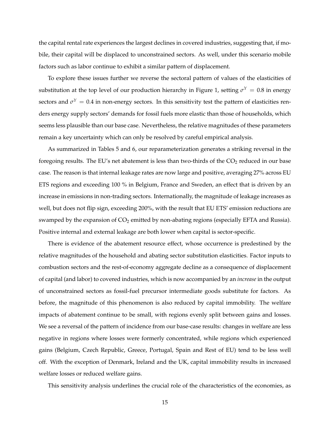the capital rental rate experiences the largest declines in covered industries, suggesting that, if mobile, their capital will be displaced to unconstrained sectors. As well, under this scenario mobile factors such as labor continue to exhibit a similar pattern of displacement.

To explore these issues further we reverse the sectoral pattern of values of the elasticities of substitution at the top level of our production hierarchy in Figure 1, setting  $\sigma^Y=0.8$  in energy sectors and  $\sigma^Y = 0.4$  in non-energy sectors. In this sensitivity test the pattern of elasticities renders energy supply sectors' demands for fossil fuels more elastic than those of households, which seems less plausible than our base case. Nevertheless, the relative magnitudes of these parameters remain a key uncertainty which can only be resolved by careful empirical analysis.

As summarized in Tables 5 and 6, our reparameterization generates a striking reversal in the foregoing results. The EU's net abatement is less than two-thirds of the  $CO<sub>2</sub>$  reduced in our base case. The reason is that internal leakage rates are now large and positive, averaging 27% across EU ETS regions and exceeding 100 % in Belgium, France and Sweden, an effect that is driven by an increase in emissions in non-trading sectors. Internationally, the magnitude of leakage increases as well, but does not flip sign, exceeding 200%, with the result that EU ETS' emission reductions are swamped by the expansion of  $CO<sub>2</sub>$  emitted by non-abating regions (especially EFTA and Russia). Positive internal and external leakage are both lower when capital is sector-specific.

There is evidence of the abatement resource effect, whose occurrence is predestined by the relative magnitudes of the household and abating sector substitution elasticities. Factor inputs to combustion sectors and the rest-of-economy aggregate decline as a consequence of displacement of capital (and labor) to covered industries, which is now accompanied by an *increase* in the output of unconstrained sectors as fossil-fuel precursor intermediate goods substitute for factors. As before, the magnitude of this phenomenon is also reduced by capital immobility. The welfare impacts of abatement continue to be small, with regions evenly split between gains and losses. We see a reversal of the pattern of incidence from our base-case results: changes in welfare are less negative in regions where losses were formerly concentrated, while regions which experienced gains (Belgium, Czech Republic, Greece, Portugal, Spain and Rest of EU) tend to be less well off. With the exception of Denmark, Ireland and the UK, capital immobility results in increased welfare losses or reduced welfare gains.

This sensitivity analysis underlines the crucial role of the characteristics of the economies, as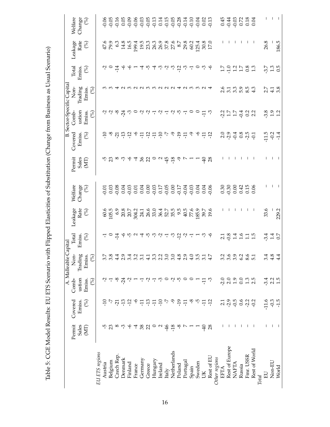|                |                 |                         |                 | A. Malleable                                                                           | $\Box$ apital                                                                                                                                                                                                                                                                                                                                                                                                        |                                                                     |                                                                           |                                                                                                                       |                                                        |                                                                                               | <b>B.</b> Sector-Specific Capita |                                                                                                                                                                                           |                 |                                                        |
|----------------|-----------------|-------------------------|-----------------|----------------------------------------------------------------------------------------|----------------------------------------------------------------------------------------------------------------------------------------------------------------------------------------------------------------------------------------------------------------------------------------------------------------------------------------------------------------------------------------------------------------------|---------------------------------------------------------------------|---------------------------------------------------------------------------|-----------------------------------------------------------------------------------------------------------------------|--------------------------------------------------------|-----------------------------------------------------------------------------------------------|----------------------------------|-------------------------------------------------------------------------------------------------------------------------------------------------------------------------------------------|-----------------|--------------------------------------------------------|
|                | Permit<br>Sales | Covered<br>Emiss.       | ustion<br>Comb- | S<br>Z                                                                                 | Total                                                                                                                                                                                                                                                                                                                                                                                                                |                                                                     | Welfare                                                                   | Permit                                                                                                                | Covered                                                | ustion<br>Comb-                                                                               | Non-<br>Trading                  | Total<br>Emiss.                                                                                                                                                                           | Leakage<br>Rate | Welfare                                                |
|                | (MT)            | (%)                     | (%)<br>Emiss.   | Trading<br>Emiss<br>$\mathcal{S}$                                                      | Emiss.<br>$\left( \!\!{\begin{array}{c} 0 \end{array}}\!\!\right)$                                                                                                                                                                                                                                                                                                                                                   | Leakage Rate $Rate$                                                 | $\begin{array}{c} \mathrm{Change} \\ (\%) \end{array}$                    | Sales<br>(MT)                                                                                                         | Emiss.<br>$\mathcal{S}$                                | (%)<br>Emiss.                                                                                 | (%)<br>Emiss.                    | $\mathcal{S}$                                                                                                                                                                             | (%)             | $\begin{array}{c} \mathrm{Change} \\ (\%) \end{array}$ |
| EU ETS regions |                 |                         |                 |                                                                                        |                                                                                                                                                                                                                                                                                                                                                                                                                      |                                                                     |                                                                           |                                                                                                                       |                                                        |                                                                                               |                                  |                                                                                                                                                                                           |                 |                                                        |
| Austria        | က္              | $\overline{10}$         | Ņ               | $\mathbb{S}$                                                                           | 도                                                                                                                                                                                                                                                                                                                                                                                                                    |                                                                     |                                                                           |                                                                                                                       | ۹F                                                     |                                                                                               |                                  |                                                                                                                                                                                           |                 |                                                        |
| Belgium        | 23              |                         | 고               | $\ddot{s}$                                                                             |                                                                                                                                                                                                                                                                                                                                                                                                                      |                                                                     |                                                                           |                                                                                                                       |                                                        |                                                                                               | ო ო                              | $\frac{1}{2}$ $\frac{1}{2}$                                                                                                                                                               |                 |                                                        |
| Czech Rep.     | $\infty$        |                         | တု              | $\frac{4}{4}$                                                                          |                                                                                                                                                                                                                                                                                                                                                                                                                      |                                                                     |                                                                           |                                                                                                                       |                                                        |                                                                                               |                                  |                                                                                                                                                                                           |                 |                                                        |
| Denmark        | ್ರೆ             | 7 5 7 7 9 9 7 7 7 9 7 9 | $\frac{5}{4}$   | $\frac{5}{2}$                                                                          |                                                                                                                                                                                                                                                                                                                                                                                                                      |                                                                     |                                                                           |                                                                                                                       | <sub><br/>♡ 진 뜬 은 우 딕 딕 딕 딕 ▷ ⊙ 은 <mark>근</mark></sub> | $\gamma$ $\gamma$ $\varphi$ $\stackrel{\rightarrow}{\gamma}$ $\stackrel{\rightarrow}{\gamma}$ |                                  | ې                                                                                                                                                                                         |                 |                                                        |
| Finland        | ې               |                         |                 | $\ddot{3}$                                                                             |                                                                                                                                                                                                                                                                                                                                                                                                                      |                                                                     |                                                                           |                                                                                                                       |                                                        |                                                                                               |                                  | ۴                                                                                                                                                                                         |                 |                                                        |
| France         | 4               |                         |                 | 3.2                                                                                    |                                                                                                                                                                                                                                                                                                                                                                                                                      |                                                                     |                                                                           |                                                                                                                       |                                                        |                                                                                               | ωu α                             |                                                                                                                                                                                           |                 |                                                        |
| Germany        | 86              |                         |                 | $\ddot{c}$                                                                             |                                                                                                                                                                                                                                                                                                                                                                                                                      |                                                                     |                                                                           |                                                                                                                       |                                                        |                                                                                               |                                  |                                                                                                                                                                                           |                 |                                                        |
| Greece         | $\mathfrak{A}$  |                         | Ļ               | $\frac{1}{4}$                                                                          |                                                                                                                                                                                                                                                                                                                                                                                                                      |                                                                     |                                                                           |                                                                                                                       |                                                        |                                                                                               | က                                |                                                                                                                                                                                           |                 |                                                        |
| Hungary        |                 |                         | ᅮ               | $\omega$                                                                               |                                                                                                                                                                                                                                                                                                                                                                                                                      |                                                                     |                                                                           |                                                                                                                       |                                                        |                                                                                               |                                  |                                                                                                                                                                                           |                 |                                                        |
| Ireland        | $\circ$ a       |                         | ကု              | $\frac{2}{3}$                                                                          |                                                                                                                                                                                                                                                                                                                                                                                                                      |                                                                     |                                                                           |                                                                                                                       |                                                        |                                                                                               |                                  |                                                                                                                                                                                           |                 |                                                        |
| Italy          | $-46$           |                         |                 | $\tilde{\mathcal{E}}$                                                                  |                                                                                                                                                                                                                                                                                                                                                                                                                      |                                                                     |                                                                           |                                                                                                                       |                                                        |                                                                                               |                                  |                                                                                                                                                                                           |                 |                                                        |
| Netherlands    | $-18$           |                         | $\mathcal{L}$   |                                                                                        |                                                                                                                                                                                                                                                                                                                                                                                                                      |                                                                     |                                                                           |                                                                                                                       |                                                        |                                                                                               |                                  |                                                                                                                                                                                           |                 |                                                        |
| Poland         | $\sim$          | $-19$                   | ယု              |                                                                                        |                                                                                                                                                                                                                                                                                                                                                                                                                      |                                                                     |                                                                           |                                                                                                                       |                                                        |                                                                                               |                                  |                                                                                                                                                                                           |                 |                                                        |
| Portugal       |                 | $\overline{H}$          |                 | c w o c u r r<br>c w o c u r r                                                         | $\circ$ $\vec{r}$ $\downarrow$ $\uparrow$ $\uparrow$ $\uparrow$ $\uparrow$ $\uparrow$ $\uparrow$ $\uparrow$ $\uparrow$ $\uparrow$ $\uparrow$ $\uparrow$ $\uparrow$ $\uparrow$ $\uparrow$ $\uparrow$ $\uparrow$ $\uparrow$ $\uparrow$ $\uparrow$ $\uparrow$ $\uparrow$ $\uparrow$ $\uparrow$ $\uparrow$ $\uparrow$ $\uparrow$ $\uparrow$ $\uparrow$ $\uparrow$ $\uparrow$ $\uparrow$ $\uparrow$ $\uparrow$ $\uparrow$ | e no ser que e que se proposable<br>Chi o ser dura se de proposable |                                                                           | <u>5 m m s m s m s m s m m m s m s m m s m s m m s m s m m m s m s m m m s m s m m m m s m m m m m m m m m m m m </u> |                                                        |                                                                                               | <b>NNN TN CO CO CO</b>           | $\begin{array}{c} \mathbf{u} & \mathbf{u} & \mathbf{v} & \mathbf{v} & \mathbf{v} & \mathbf{v} \\ \mathbf{u} & \mathbf{v} & \mathbf{v} & \mathbf{v} & \mathbf{v} & \mathbf{v} \end{array}$ |                 |                                                        |
| Spain          |                 |                         |                 |                                                                                        |                                                                                                                                                                                                                                                                                                                                                                                                                      |                                                                     |                                                                           |                                                                                                                       |                                                        |                                                                                               |                                  |                                                                                                                                                                                           |                 |                                                        |
| Sweden         |                 | 우 무 규 무                 |                 |                                                                                        |                                                                                                                                                                                                                                                                                                                                                                                                                      | 185.9<br>39.7<br>19.6                                               |                                                                           |                                                                                                                       | 9 우 금 음                                                |                                                                                               |                                  |                                                                                                                                                                                           |                 |                                                        |
| ŠК             | $\overline{+}$  |                         | 급               |                                                                                        |                                                                                                                                                                                                                                                                                                                                                                                                                      |                                                                     |                                                                           |                                                                                                                       |                                                        |                                                                                               |                                  |                                                                                                                                                                                           |                 |                                                        |
| Rest of EU     | 28              |                         | ကု              |                                                                                        |                                                                                                                                                                                                                                                                                                                                                                                                                      |                                                                     |                                                                           |                                                                                                                       |                                                        |                                                                                               |                                  |                                                                                                                                                                                           |                 |                                                        |
| Other regions  |                 |                         |                 |                                                                                        |                                                                                                                                                                                                                                                                                                                                                                                                                      |                                                                     |                                                                           |                                                                                                                       |                                                        |                                                                                               |                                  |                                                                                                                                                                                           |                 |                                                        |
| <b>EFTA</b>    |                 | 2.1                     | $-2.0$          |                                                                                        | $\frac{21}{9}$                                                                                                                                                                                                                                                                                                                                                                                                       |                                                                     |                                                                           |                                                                                                                       |                                                        |                                                                                               |                                  |                                                                                                                                                                                           |                 |                                                        |
| Rest of Europe |                 | $-2.9$                  | 2.0             | 0<br>0<br>0<br>0<br>0<br>0<br>0<br>0<br>0<br>0<br>0<br>0<br>0<br>0<br>0<br>0<br>0<br>0 |                                                                                                                                                                                                                                                                                                                                                                                                                      |                                                                     |                                                                           |                                                                                                                       |                                                        |                                                                                               |                                  |                                                                                                                                                                                           |                 |                                                        |
| <b>NAFTA</b>   |                 |                         | 1.9             |                                                                                        | 1.4                                                                                                                                                                                                                                                                                                                                                                                                                  |                                                                     |                                                                           |                                                                                                                       |                                                        |                                                                                               |                                  |                                                                                                                                                                                           |                 |                                                        |
| Russia         |                 | 0.6                     | 0.0             | 62                                                                                     |                                                                                                                                                                                                                                                                                                                                                                                                                      |                                                                     |                                                                           |                                                                                                                       |                                                        |                                                                                               |                                  |                                                                                                                                                                                           |                 |                                                        |
| Fmr. USSR      |                 | $-2.2$                  | $1.3$<br>$2.5$  | $\frac{6}{5}$                                                                          |                                                                                                                                                                                                                                                                                                                                                                                                                      |                                                                     | $\begin{array}{c} 30 \\ 0.30 \\ 0.01 \\ 0.01 \\ 0.06 \\ 0.06 \end{array}$ |                                                                                                                       | 3948977                                                | 2 5 7 4 2 2 2<br>2 7 7 4 2 2 2                                                                | cianonia<br>Cianonia             | 17011282                                                                                                                                                                                  |                 | 43<br>43<br>90023<br>9003                              |
| Rest of World  |                 | $-0.2$                  |                 |                                                                                        |                                                                                                                                                                                                                                                                                                                                                                                                                      |                                                                     |                                                                           |                                                                                                                       |                                                        |                                                                                               |                                  |                                                                                                                                                                                           |                 |                                                        |
| <b>Total</b>   |                 |                         |                 |                                                                                        |                                                                                                                                                                                                                                                                                                                                                                                                                      |                                                                     |                                                                           |                                                                                                                       |                                                        |                                                                                               |                                  |                                                                                                                                                                                           |                 |                                                        |
| $E_{\rm 0}$    | T               | $-11.6$                 | $-3.4$          | $\frac{4}{3}$                                                                          | $447$<br>$-10$                                                                                                                                                                                                                                                                                                                                                                                                       | 33.6                                                                |                                                                           |                                                                                                                       | $-1.5$<br>$-0.2$<br>$-1.4$                             | $3001$<br>$71$<br>$71$                                                                        | $7.78$<br>$4.38$                 | 5.7<br>9.13<br>9.15                                                                                                                                                                       | 26.8            |                                                        |
| Non-EU         |                 | $-1.5$                  | $2.2$<br>1.5    |                                                                                        |                                                                                                                                                                                                                                                                                                                                                                                                                      |                                                                     | L                                                                         |                                                                                                                       |                                                        |                                                                                               |                                  |                                                                                                                                                                                           |                 |                                                        |
| World          |                 |                         |                 | $\ddot{4}$                                                                             |                                                                                                                                                                                                                                                                                                                                                                                                                      | -<br>229.2                                                          |                                                                           |                                                                                                                       |                                                        |                                                                                               |                                  |                                                                                                                                                                                           | 186.5           |                                                        |

Table 5: CGE Model Results: EU ETS Scenario with Flipped Elasticities of Substitution (Change from Business as Usual Scenario) Table 5: CGE Model Results: EU ETS Scenario with Flipped Elasticities of Substitution (Change from Business as Usual Scenario)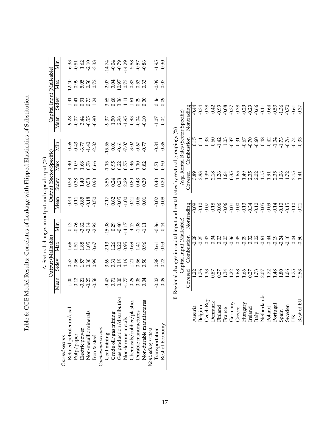| .<br>נ                                                                                                                                                                                                                                                                                                                                                                                             |
|----------------------------------------------------------------------------------------------------------------------------------------------------------------------------------------------------------------------------------------------------------------------------------------------------------------------------------------------------------------------------------------------------|
|                                                                                                                                                                                                                                                                                                                                                                                                    |
| くしょうこう                                                                                                                                                                                                                                                                                                                                                                                             |
|                                                                                                                                                                                                                                                                                                                                                                                                    |
| $\ddot{\cdot}$ $\ddot{\cdot}$ $\ddot{\cdot}$ $\ddot{\cdot}$ $\ddot{\cdot}$ $\ddot{\cdot}$ $\ddot{\cdot}$ $\ddot{\cdot}$ $\ddot{\cdot}$ $\ddot{\cdot}$ $\ddot{\cdot}$ $\ddot{\cdot}$ $\ddot{\cdot}$ $\ddot{\cdot}$ $\ddot{\cdot}$ $\ddot{\cdot}$ $\ddot{\cdot}$ $\ddot{\cdot}$ $\ddot{\cdot}$ $\ddot{\cdot}$ $\ddot{\cdot}$ $\ddot{\cdot}$ $\ddot{\cdot}$ $\ddot{\cdot}$ $\ddot{\$<br>$\frac{1}{2}$ |
|                                                                                                                                                                                                                                                                                                                                                                                                    |
|                                                                                                                                                                                                                                                                                                                                                                                                    |
| ׇ֚֘֡                                                                                                                                                                                                                                                                                                                                                                                               |
| - 2<br>- 1<br>- 1<br>- 1<br>;<br>;                                                                                                                                                                                                                                                                                                                                                                 |
|                                                                                                                                                                                                                                                                                                                                                                                                    |
|                                                                                                                                                                                                                                                                                                                                                                                                    |
|                                                                                                                                                                                                                                                                                                                                                                                                    |
|                                                                                                                                                                                                                                                                                                                                                                                                    |
|                                                                                                                                                                                                                                                                                                                                                                                                    |
| i<br>1                                                                                                                                                                                                                                                                                                                                                                                             |
| てんこう コーロー・ディ・ディ・ストー コーロー・ディ・エー コーロー・ディ・エー<br>ُ<br>ر                                                                                                                                                                                                                                                                                                                                                |
|                                                                                                                                                                                                                                                                                                                                                                                                    |
|                                                                                                                                                                                                                                                                                                                                                                                                    |
|                                                                                                                                                                                                                                                                                                                                                                                                    |
| I<br>)<br>.                                                                                                                                                                                                                                                                                                                                                                                        |
|                                                                                                                                                                                                                                                                                                                                                                                                    |
|                                                                                                                                                                                                                                                                                                                                                                                                    |
|                                                                                                                                                                                                                                                                                                                                                                                                    |
| $\frac{1}{1}$                                                                                                                                                                                                                                                                                                                                                                                      |
|                                                                                                                                                                                                                                                                                                                                                                                                    |
|                                                                                                                                                                                                                                                                                                                                                                                                    |
|                                                                                                                                                                                                                                                                                                                                                                                                    |
| י<br>גוב<br>ג                                                                                                                                                                                                                                                                                                                                                                                      |
| .<br>.<br>.                                                                                                                                                                                                                                                                                                                                                                                        |
|                                                                                                                                                                                                                                                                                                                                                                                                    |
| į                                                                                                                                                                                                                                                                                                                                                                                                  |
| ֧֓֝֝֟<br>֧֧֧֧֧֖֖֖֧֖֖֧֧֧֧֖֚֚֚֚֚֚֚֝֩֩֩֕֓֓֓֓֓֝֓֟֓֓֝֬֝֓֓֝֬֝֓֝֬֝֓֝֬֝֬֝֬<br>֧֧֖֖֖֖֖֖֖֖֖֖֖֖֚֚֚֚֚֚֚֚֚֚֚֜֩֩֩֩                                                                                                                                                                                                                                                                                               |

|                             |                  |                    |                            |                                      | A. Sectoral changes in output and capital input (%)                             |                                      |                             |                                                                                                                                                                                                                                                                            |                                     |                           |                                                 |                                                     |
|-----------------------------|------------------|--------------------|----------------------------|--------------------------------------|---------------------------------------------------------------------------------|--------------------------------------|-----------------------------|----------------------------------------------------------------------------------------------------------------------------------------------------------------------------------------------------------------------------------------------------------------------------|-------------------------------------|---------------------------|-------------------------------------------------|-----------------------------------------------------|
|                             |                  | Output (Malleable) |                            |                                      |                                                                                 | Output (Sector-Specific)             |                             |                                                                                                                                                                                                                                                                            |                                     | Capital Input (Malleable) |                                                 |                                                     |
|                             | Mean             | Stdev              | Max                        | Min                                  | Mean                                                                            | Stdev                                | Max                         | Min                                                                                                                                                                                                                                                                        | Mean                                | Stdev                     | Max                                             | Min                                                 |
| Covered sectors             |                  |                    |                            |                                      |                                                                                 |                                      |                             |                                                                                                                                                                                                                                                                            |                                     |                           |                                                 |                                                     |
| Refined petroleum/coal      |                  |                    |                            |                                      | 0.44                                                                            |                                      |                             |                                                                                                                                                                                                                                                                            |                                     | $\pm 1$                   |                                                 |                                                     |
| Pulp/paper                  | $1.00$<br>$0.12$ |                    |                            |                                      |                                                                                 |                                      |                             |                                                                                                                                                                                                                                                                            | $9.28$<br>$-0.07$                   | 0.41                      |                                                 |                                                     |
| Electric power              | $-0.21$          | 55<br>0.56<br>0.57 |                            |                                      |                                                                                 |                                      |                             |                                                                                                                                                                                                                                                                            | 3.44                                |                           |                                                 |                                                     |
| Non-metallic minerals       | $-0.25$          | 0.80               | $1.58$<br>$1.38$<br>$1.35$ |                                      | $\begin{array}{c} 0.11 \\ -0.85 \\ -0.18 \end{array}$                           |                                      | $40.88$<br>$1.08$<br>$1.78$ |                                                                                                                                                                                                                                                                            | $-0.55$                             |                           |                                                 |                                                     |
| Iron & steel                | $-0.56$          | 6.0                | 0.67                       | $7.760140$<br>$9.760140$<br>$9.9140$ | $-0.50$                                                                         | 58<br>0.39<br>0.9<br>0.9<br>0.9      | 0.66                        | 5<br>9 3 5 9 8<br>9 9 7 7 9 8                                                                                                                                                                                                                                              | $-0.90$                             | 0.91<br>0.73<br>1.24      | $12.40$<br>$0.99$<br>$0.50$<br>$0.72$<br>$0.72$ | $6.33$<br>$6.51$<br>$6.51$<br>$7.33$<br>$7.33$      |
| Combustion sectors          |                  |                    |                            |                                      |                                                                                 |                                      |                             |                                                                                                                                                                                                                                                                            |                                     |                           |                                                 |                                                     |
| Coal mining                 | -9.47            | 3.69               | $-2.13$<br>$1.26$          | $-15.08$<br>0.29<br>0.40             |                                                                                 |                                      |                             | 15.56                                                                                                                                                                                                                                                                      |                                     |                           |                                                 |                                                     |
| Crude oil/gas mining        | 0.71             | 0.31               |                            |                                      |                                                                                 |                                      | $-1.15$<br>0.95             | 0.01                                                                                                                                                                                                                                                                       | $9.37$<br>1.50                      | 3.65<br>0.68              | $-2.07$<br>3.04                                 |                                                     |
| Gas production/distribution | 0.00             | 0.19               | 0.20                       |                                      |                                                                                 |                                      | 0.22                        |                                                                                                                                                                                                                                                                            | 2.98                                | 3.36                      | 10.97                                           |                                                     |
| Non-ferrous metals          | $-1.77$          | 4.19               | 0.95                       | $-14.17$                             |                                                                                 | $3,38$<br>$0.28$<br>$0.88$<br>$0.80$ | 0.75                        | $7.07$ $\,$                                                                                                                                                                                                                                                                | $-1.95$                             | 4.11                      | $0.73\,$                                        |                                                     |
| Chemicals/rubber/plastics   | $-0.29$          | 1.21               | 0.69                       |                                      |                                                                                 |                                      | 0.46                        | $-3.02$                                                                                                                                                                                                                                                                    | $-0.93$                             | 1.61                      |                                                 |                                                     |
| Durable manufactures        | 0.08             | 0.56               | 1.41                       |                                      |                                                                                 | 0.43                                 | 1.10                        |                                                                                                                                                                                                                                                                            | $-0.04$                             |                           |                                                 |                                                     |
| Non-durable manufactures    | 0.04             | 0.50               | 0.96                       | $4.47$<br>$-1.08$<br>$-1.11$         | 1788997985                                                                      | 0.39                                 | 0.82                        | $-0.67$<br>$-0.77$                                                                                                                                                                                                                                                         | $-0.10$                             | $0.29$<br>$0.30$          | $0.82$<br>$0.53$                                | 4.74.74<br>0.7 0.7 0.8 0.5<br>0.7 0.7 0.9 0.9 0.9 1 |
| Nontrading sectors          |                  |                    |                            |                                      |                                                                                 |                                      |                             |                                                                                                                                                                                                                                                                            |                                     |                           |                                                 |                                                     |
| Transportation              | $-0.02$          | 0.38               | 0.61                       | $-0.86$                              | $-0.02$                                                                         | 0.40                                 | 0.71                        | $-0.84$                                                                                                                                                                                                                                                                    | $-1.07$                             | 0.46                      | $-0.09$                                         | $-1.95$                                             |
| Rest of Economy             | 0.09             | 0.22               | 0.53                       | $-0.44$                              | 0.08                                                                            | 0.20                                 | 0.50                        | $-0.36$                                                                                                                                                                                                                                                                    | $-0.04$                             | 0.09                      | 0.07                                            | $-0.30$                                             |
|                             |                  |                    |                            |                                      | B. Regional changes in capital input and rental rates by sectoral groupings (%) |                                      |                             |                                                                                                                                                                                                                                                                            |                                     |                           |                                                 |                                                     |
|                             |                  |                    |                            | Capital Input (Malleable             |                                                                                 |                                      |                             |                                                                                                                                                                                                                                                                            | Avg. Rental Rates (Sector-Specific) |                           |                                                 |                                                     |
|                             | Covered          |                    | Combustion                 |                                      | Nontrading                                                                      | Covered                              |                             | Combustion                                                                                                                                                                                                                                                                 | Nontrading                          |                           |                                                 |                                                     |
| Austria                     |                  |                    | $-0.08$                    |                                      | $-0.09$                                                                         | 3.89                                 |                             | 0.15                                                                                                                                                                                                                                                                       |                                     | $-0.44$                   |                                                 |                                                     |
| Belgium                     |                  | $\frac{27}{176}$   | $-0.25$                    |                                      | $-0.10$                                                                         | $2.83$<br>1.39                       |                             | 0.11                                                                                                                                                                                                                                                                       |                                     | $-0.34$                   |                                                 |                                                     |
| Czech Rep.                  |                  | 1.33               | $-0.42$                    |                                      | $-0.07$                                                                         |                                      |                             | $-0.33$                                                                                                                                                                                                                                                                    |                                     | $-0.38$                   |                                                 |                                                     |
| Denmark                     |                  | 0.87               | 0.34                       |                                      | $-0.18$                                                                         | 2.18                                 |                             |                                                                                                                                                                                                                                                                            |                                     | $-0.42$<br>$-0.99$        |                                                 |                                                     |
| Finland                     |                  | 0.27               | 0.03                       |                                      | $-0.06$                                                                         | 1.26                                 |                             | $\begin{array}{cccccc}\n4.42 & 0.000 & 0.000 & 0.000 & 0.000 & 0.000 & 0.000 & 0.000 & 0.000 & 0.000 & 0.000 & 0.000 & 0.000 & 0.000 & 0.000 & 0.000 & 0.000 & 0.000 & 0.000 & 0.000 & 0.000 & 0.000 & 0.000 & 0.000 & 0.000 & 0.000 & 0.000 & 0.000 & 0.000 & 0.000 & 0.$ |                                     |                           |                                                 |                                                     |
| France                      |                  | 1.34               | $-0.03$                    |                                      | $-0.06$                                                                         | 1.64                                 |                             |                                                                                                                                                                                                                                                                            |                                     |                           |                                                 |                                                     |
| Germany                     |                  | 1.22               | $-0.36$                    |                                      | $-0.01$                                                                         | 0.35                                 |                             |                                                                                                                                                                                                                                                                            |                                     |                           |                                                 |                                                     |
| Greece                      |                  | 1.68               | $-0.45$                    |                                      | 0.00                                                                            | 1.65                                 |                             |                                                                                                                                                                                                                                                                            |                                     |                           |                                                 |                                                     |
| Hungary                     |                  | 1.66               | $-0.09$                    |                                      | $7.34$<br>$7.34$<br>$7.56$<br>$7.56$<br>$7.56$<br>$7.56$                        | 1.49                                 |                             |                                                                                                                                                                                                                                                                            |                                     |                           |                                                 |                                                     |
| Ireland                     |                  | $0.27$<br>1.73     | 0.32                       |                                      |                                                                                 | 2.35                                 |                             |                                                                                                                                                                                                                                                                            |                                     |                           |                                                 |                                                     |
| Italy                       |                  |                    | 0.02                       |                                      |                                                                                 | 2.02                                 |                             |                                                                                                                                                                                                                                                                            |                                     |                           |                                                 |                                                     |
| Netherlands                 |                  | $2.07$<br>1.72     |                            |                                      |                                                                                 | 1.15                                 |                             |                                                                                                                                                                                                                                                                            |                                     |                           |                                                 |                                                     |
| Poland                      |                  |                    | $-0.61$                    |                                      |                                                                                 | $\overline{191}$                     |                             |                                                                                                                                                                                                                                                                            |                                     |                           |                                                 |                                                     |

Portugal 1.48 -0.19 -0.14 2.35 -1.04 -0.53 Spain 1.80 -0.24 -0.10 1.06 -1.73 -1.36 Sweden 1.06 -0.10 -0.15 1.72 -0.76 -0.70 UK 1.75  $0.04$  -0.10 2.15  $-0.74$  -0.61 Rest of EU 2.53 -0.50 -0.21 1.41 -0.33 -0.37

53<br>0.34<br>0.50<br>0.97<br>0.97

 $7.73$ <br> $7.73$ <br> $7.74$ <br> $7.74$ <br> $7.73$ <br> $7.33$ 

2.35<br>1.06<br>1.72<br>1.41<br>1.41

 $0.14$ <br>  $0.10$ <br>  $0.15$ <br>  $0.21$ <br>  $0.21$ 

 $7.19$ <br>  $7.24$ <br>  $7.10$ <br>  $7.50$ <br>  $7.50$ 

 $1.48$ <br> $1.80$ <br> $1.75$ <br> $1.75$ <br> $2.53$ 

Portugal<br>Spain<br>Sweden<br>UK<br>Rest of EU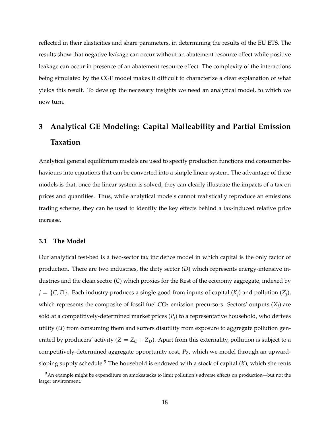reflected in their elasticities and share parameters, in determining the results of the EU ETS. The results show that negative leakage can occur without an abatement resource effect while positive leakage can occur in presence of an abatement resource effect. The complexity of the interactions being simulated by the CGE model makes it difficult to characterize a clear explanation of what yields this result. To develop the necessary insights we need an analytical model, to which we now turn.

# **3 Analytical GE Modeling: Capital Malleability and Partial Emission Taxation**

Analytical general equilibrium models are used to specify production functions and consumer behaviours into equations that can be converted into a simple linear system. The advantage of these models is that, once the linear system is solved, they can clearly illustrate the impacts of a tax on prices and quantities. Thus, while analytical models cannot realistically reproduce an emissions trading scheme, they can be used to identify the key effects behind a tax-induced relative price increase.

## **3.1 The Model**

Our analytical test-bed is a two-sector tax incidence model in which capital is the only factor of production. There are two industries, the dirty sector (*D*) which represents energy-intensive industries and the clean sector (*C*) which proxies for the Rest of the economy aggregate, indexed by  $j = \{C, D\}$ . Each industry produces a single good from inputs of capital  $(K_j)$  and pollution  $(Z_j)$ , which represents the composite of fossil fuel  $CO_2$  emission precursors. Sectors' outputs  $(X_j)$  are sold at a competitively-determined market prices  $(P_j)$  to a representative household, who derives utility (*U*) from consuming them and suffers disutility from exposure to aggregate pollution generated by producers' activity  $(Z = Z_C + Z_D)$ . Apart from this externality, pollution is subject to a competitively-determined aggregate opportunity cost, *PZ*, which we model through an upwardsloping supply schedule.<sup>5</sup> The household is endowed with a stock of capital  $(K)$ , which she rents

<sup>5</sup>An example might be expenditure on smokestacks to limit pollution's adverse effects on production—but not the larger environment.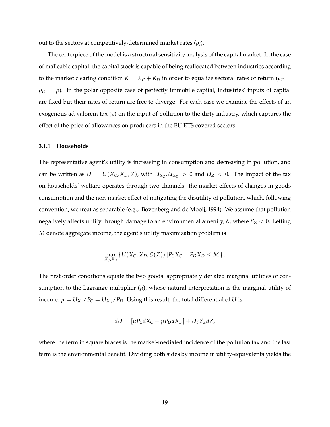out to the sectors at competitively-determined market rates  $(\rho_j).$ 

The centerpiece of the model is a structural sensitivity analysis of the capital market. In the case of malleable capital, the capital stock is capable of being reallocated between industries according to the market clearing condition  $K = K_C + K_D$  in order to equalize sectoral rates of return ( $\rho_C =$  $\rho_D = \rho$ ). In the polar opposite case of perfectly immobile capital, industries' inputs of capital are fixed but their rates of return are free to diverge. For each case we examine the effects of an exogenous ad valorem tax (*τ*) on the input of pollution to the dirty industry, which captures the effect of the price of allowances on producers in the EU ETS covered sectors.

#### **3.1.1 Households**

The representative agent's utility is increasing in consumption and decreasing in pollution, and can be written as  $U = U(X_C, X_D, Z)$ , with  $U_{X_C}, U_{X_D} > 0$  and  $U_Z < 0$ . The impact of the tax on households' welfare operates through two channels: the market effects of changes in goods consumption and the non-market effect of mitigating the disutility of pollution, which, following convention, we treat as separable (e.g., Bovenberg and de Mooij, 1994). We assume that pollution negatively affects utility through damage to an environmental amenity,  $\mathcal{E}$ , where  $\mathcal{E}_Z$  < 0. Letting *M* denote aggregate income, the agent's utility maximization problem is

$$
\max_{X_C,X_D} \left\{ U(X_C,X_D,\mathcal{E}(Z)) | P_C X_C + P_D X_D \leq M \right\}.
$$

The first order conditions equate the two goods' appropriately deflated marginal utilities of consumption to the Lagrange multiplier  $(\mu)$ , whose natural interpretation is the marginal utility of income:  $\mu = U_{X_C}/P_C = U_{X_D}/P_D$ . Using this result, the total differential of *U* is

$$
dU = [\mu P_C dX_C + \mu P_D dX_D] + U_{\mathcal{E}} \mathcal{E}_Z dZ,
$$

where the term in square braces is the market-mediated incidence of the pollution tax and the last term is the environmental benefit. Dividing both sides by income in utility-equivalents yields the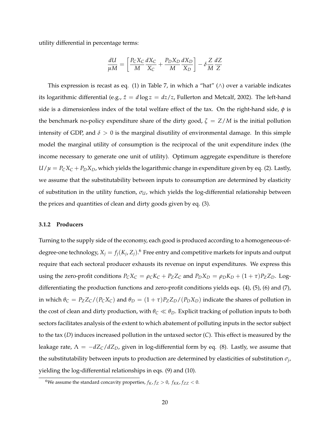utility differential in percentage terms:

$$
\frac{dU}{\mu M} = \left[ \frac{P_C X_C}{M} \frac{dX_C}{X_C} + \frac{P_D X_D}{M} \frac{dX_D}{X_D} \right] - \delta \frac{Z}{M} \frac{dZ}{Z}
$$

This expression is recast as eq. (1) in Table 7, in which a "hat" ( $\land$ ) over a variable indicates its logarithmic differential (e.g.,  $\hat{z} = d \log z = dz/z$ , Fullerton and Metcalf, 2002). The left-hand side is a dimensionless index of the total welfare effect of the tax. On the right-hand side, *φ* is the benchmark no-policy expenditure share of the dirty good,  $\zeta = Z/M$  is the initial pollution intensity of GDP, and  $\delta > 0$  is the marginal disutility of environmental damage. In this simple model the marginal utility of consumption is the reciprocal of the unit expenditure index (the income necessary to generate one unit of utility). Optimum aggregate expenditure is therefore  $U/\mu = P_C X_C + P_D X_D$ , which yields the logarithmic change in expenditure given by eq. (2). Lastly, we assume that the substitutability between inputs to consumption are determined by elasticity of substitution in the utility function, *σU*, which yields the log-differential relationship between the prices and quantities of clean and dirty goods given by eq. (3).

#### **3.1.2 Producers**

Turning to the supply side of the economy, each good is produced according to a homogeneous-ofdegree-one technology,  $X_j = f_j(K_j, Z_j)$ .<sup>6</sup> Free entry and competitive markets for inputs and output require that each sectoral producer exhausts its revenue on input expenditures. We express this using the zero-profit conditions  $P_C X_C = \rho_C K_C + P_Z Z_C$  and  $P_D X_D = \rho_D K_D + (1 + \tau) P_Z Z_D$ . Logdifferentiating the production functions and zero-profit conditions yields eqs. (4), (5), (6) and (7), in which  $\theta_C = P_Z Z_C / (P_C X_C)$  and  $\theta_D = (1 + \tau) P_Z Z_D / (P_D X_D)$  indicate the shares of pollution in the cost of clean and dirty production, with  $\theta_C \ll \theta_D$ . Explicit tracking of pollution inputs to both sectors facilitates analysis of the extent to which abatement of polluting inputs in the sector subject to the tax (*D*) induces increased pollution in the untaxed sector (*C*). This effect is measured by the leakage rate,  $\Lambda = -dZ_C/dZ_D$ , given in log-differential form by eq. (8). Lastly, we assume that the substitutability between inputs to production are determined by elasticities of substitution *σ<sup>j</sup>* , yielding the log-differential relationships in eqs. (9) and (10).

 $^6\text{We assume the standard concavity properties, } f_K, f_Z > 0, f_{KK}, f_{ZZ} < 0.$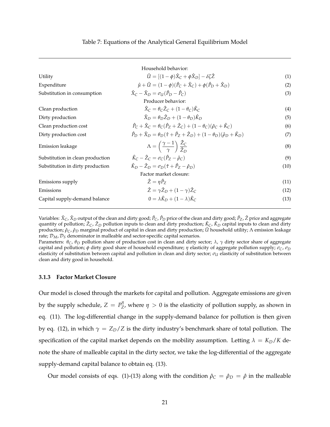|                                  | Household behavior:                                                                                                               |      |
|----------------------------------|-----------------------------------------------------------------------------------------------------------------------------------|------|
| Utility                          | $\hat{U} = [(1-\phi)\hat{X}_C + \phi\hat{X}_D] - \delta\zeta\hat{Z}$                                                              | (1)  |
| Expenditure                      | $\hat{\mu} + \hat{U} = (1 - \phi)(\hat{P}_C + \hat{X}_C) + \phi(\hat{P}_D + \hat{X}_D)$                                           | (2)  |
| Substitution in consumption      | $\hat{X}_C - \hat{X}_D = \sigma_{\text{LI}}(\hat{P}_D - \hat{P}_C)$                                                               | (3)  |
|                                  | Producer behavior:                                                                                                                |      |
| Clean production                 | $\hat{X}_C = \theta_C \hat{Z}_C + (1 - \theta_C) \hat{K}_C$                                                                       | (4)  |
| Dirty production                 | $\hat{X}_D = \theta_D \hat{Z}_D + (1 - \theta_D) \hat{K}_D$                                                                       | (5)  |
| Clean production cost            | $\hat{P}_C + \hat{X}_C = \theta_C(\hat{P}_Z + \hat{Z}_C) + (1 - \theta_C)(\hat{\rho}_C + \hat{K}_C)$                              | (6)  |
| Dirty production cost            | $\hat{P}_{D} + \hat{X}_{D} = \theta_{D}(\hat{\tau} + \hat{P}_{Z} + \hat{Z}_{D}) + (1 - \theta_{D})(\hat{\rho}_{D} + \hat{K}_{D})$ | (7)  |
| Emission leakage                 | $\Lambda = \left(\frac{\gamma - 1}{\gamma}\right) \frac{\dot{Z}_C}{\dot{Z}_D}$                                                    | (8)  |
| Substitution in clean production | $\hat{K}_C - \hat{Z}_C = \sigma_C(\hat{P}_Z - \hat{\rho}_C)$                                                                      | (9)  |
| Substitution in dirty production | $\hat{K}_D - \hat{Z}_D = \sigma_D(\hat{\tau} + \hat{P}_Z - \hat{\rho}_D)$                                                         | (10) |
|                                  | Factor market closure:                                                                                                            |      |
| Emissions supply                 | $\hat{Z} = \eta \hat{P}_Z$                                                                                                        | (11) |
| Emissions                        | $\hat{Z} = \gamma \hat{Z}_D + (1 - \gamma) \hat{Z}_C$                                                                             | (12) |
| Capital supply-demand balance    | $0 = \lambda \hat{K}_D + (1 - \lambda) \hat{K}_C$                                                                                 | (13) |

Variables: *X*ˆ *<sup>C</sup>*, *X*ˆ *<sup>D</sup>* output of the clean and dirty good; *P*ˆ *<sup>C</sup>*, *P*ˆ*<sup>D</sup>* price of the clean and dirty good; *P*ˆ *<sup>Z</sup>*, *Z*ˆ price and aggregate quantity of pollution;  $\hat{Z}_C$ ,  $\hat{Z}_D$  pollution inputs to clean and dirty production;  $\hat{K}_C$ ,  $\hat{K}_D$  capital inputs to clean and dirty production; *ρ*ˆ*C*, *ρ*ˆ*<sup>D</sup>* marginal product of capital in clean and dirty production; *U*ˆ household utility; Λ emission leakage rate;  $\mathcal{D}_M$ ,  $\mathcal{D}_S$  denominator in malleable and sector-specific capital scenarios.

Parameters: *θC*, *θ<sup>D</sup>* pollution share of production cost in clean and dirty sector; *λ*, *γ* dirty sector share of aggregate capital and pollution; *φ* dirty good share of household expenditure; *η* elasticity of aggregate pollution supply; *σC*, *σ<sup>D</sup>* elasticity of substitution between capital and pollution in clean and dirty sector; *σ<sup>U</sup>* elasticity of substitution between clean and dirty good in household.

#### **3.1.3 Factor Market Closure**

Our model is closed through the markets for capital and pollution. Aggregate emissions are given by the supply schedule,  $Z = P_Z^{\eta}$  $Z$ , where  $η > 0$  is the elasticity of pollution supply, as shown in eq. (11). The log-differential change in the supply-demand balance for pollution is then given by eq. (12), in which  $\gamma = Z_D/Z$  is the dirty industry's benchmark share of total pollution. The specification of the capital market depends on the mobility assumption. Letting  $\lambda = K_D/K$  denote the share of malleable capital in the dirty sector, we take the log-differential of the aggregate supply-demand capital balance to obtain eq. (13).

Our model consists of eqs. (1)-(13) along with the condition  $\hat{\rho}_C = \hat{\rho}_D = \hat{\rho}$  in the malleable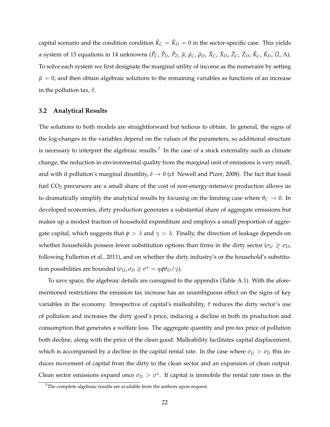capital scenario and the condition condition  $\hat{K}_{C}=\hat{K}_{D}=0$  in the sector-specific case. This yields a system of 13 equations in 14 unknowns ( $\hat{P}_C$ ,  $\hat{P}_D$ ,  $\hat{P}_Z$ ,  $\hat{\mu}$ ,  $\hat{\rho}_C$ ,  $\hat{\rho}_D$ ,  $\hat{X}_C$ ,  $\hat{X}_D$ ,  $\hat{Z}_C$ ,  $\hat{Z}_D$ ,  $\hat{K}_C$ ,  $\hat{K}_D$ ,  $\hat{U}$ ,  $\Lambda$ ). To solve each system we first designate the marginal utility of income as the numeraire by setting  $\hat{\mu} = 0$ , and then obtain algebraic solutions to the remaining variables as functions of an increase in the pollution tax, *τ*ˆ.

#### **3.2 Analytical Results**

The solutions to both models are straightforward but tedious to obtain. In general, the signs of the log-changes in the variables depend on the values of the parameters, so additional structure is necessary to interpret the algebraic results.<sup>7</sup> In the case of a stock externality such as climate change, the reduction in environmental quality from the marginal unit of emissions is very small, and with it pollution's marginal disutility,  $\delta \to 0$  (cf Newell and Pizer, 2008). The fact that fossil fuel CO<sub>2</sub> precursors are a small share of the cost of non-energy-intensive production allows us to dramatically simplify the analytical results by focusing on the limiting case where  $\theta_C \to 0$ . In developed economies, dirty production generates a substantial share of aggregate emissions but makes up a modest fraction of household expenditure and employs a small proportion of aggregate capital, which suggests that  $\phi > \lambda$  and  $\gamma > \lambda$ . Finally, the direction of leakage depends on whether households possess fewer substitution options than firms in the dirty sector ( $\sigma_U \geq \sigma_D$ ) following Fullerton et al., 2011), and on whether the dirty industry's or the household's substitution possibilities are bounded ( $\sigma_U$ ,  $\sigma_D \geq \sigma^* = \eta \phi \theta_D / \gamma$ ).

To save space, the algebraic details are consigned to the appendix (Table A.1). With the aforementioned restrictions the emission tax increase has an unambiguous effect on the signs of key variables in the economy. Irrespective of capital's malleability, *τ*ˆ reduces the dirty sector's use of pollution and increases the dirty good's price, inducing a decline in both its production and consumption that generates a welfare loss. The aggregate quantity and pre-tax price of pollution both decline, along with the price of the clean good. Malleability facilitates capital displacement, which is accompanied by a decline in the capital rental rate. In the case where  $\sigma_U > \sigma_D$  this induces movement of capital from the dirty to the clean sector and an expansion of clean output. Clean sector emissions expand once  $\sigma_D > \sigma^*$ . If capital is immobile the rental rate rises in the

 $7$ The complete algebraic results are available from the authors upon request.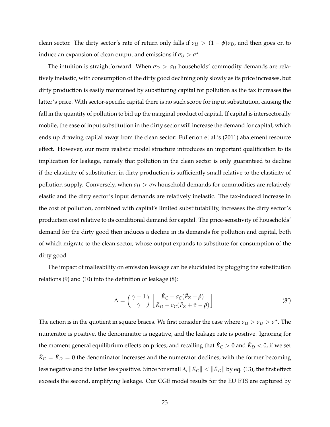clean sector. The dirty sector's rate of return only falls if  $\sigma_U > (1 - \phi)\sigma_D$ , and then goes on to induce an expansion of clean output and emissions if  $\sigma_U > \sigma^*$ .

The intuition is straightforward. When  $\sigma_D > \sigma_U$  households' commodity demands are relatively inelastic, with consumption of the dirty good declining only slowly as its price increases, but dirty production is easily maintained by substituting capital for pollution as the tax increases the latter's price. With sector-specific capital there is no such scope for input substitution, causing the fall in the quantity of pollution to bid up the marginal product of capital. If capital is intersectorally mobile, the ease of input substitution in the dirty sector will increase the demand for capital, which ends up drawing capital away from the clean sector: Fullerton et al.'s (2011) abatement resource effect. However, our more realistic model structure introduces an important qualification to its implication for leakage, namely that pollution in the clean sector is only guaranteed to decline if the elasticity of substitution in dirty production is sufficiently small relative to the elasticity of pollution supply. Conversely, when  $\sigma_U > \sigma_D$  household demands for commodities are relatively elastic and the dirty sector's input demands are relatively inelastic. The tax-induced increase in the cost of pollution, combined with capital's limited substitutability, increases the dirty sector's production cost relative to its conditional demand for capital. The price-sensitivity of households' demand for the dirty good then induces a decline in its demands for pollution and capital, both of which migrate to the clean sector, whose output expands to substitute for consumption of the dirty good.

The impact of malleability on emission leakage can be elucidated by plugging the substitution relations (9) and (10) into the definition of leakage (8):

$$
\Lambda = \left(\frac{\gamma - 1}{\gamma}\right) \left[\frac{\hat{K}_C - \sigma_C(\hat{P}_Z - \hat{\rho})}{\hat{K}_D - \sigma_C(\hat{P}_Z + \hat{\tau} - \hat{\rho})}\right].
$$
\n(8')

The action is in the quotient in square braces. We first consider the case where  $\sigma_U > \sigma_D > \sigma^*$ . The numerator is positive, the denominator is negative, and the leakage rate is positive. Ignoring for the moment general equilibrium effects on prices, and recalling that  $\hat{K}_C>0$  and  $\hat{K}_D< 0$ , if we set  $\hat{K}_C = \hat{K}_D = 0$  the denominator increases and the numerator declines, with the former becoming less negative and the latter less positive. Since for small  $\lambda$ ,  $\|\hat K_C\|<\|\hat K_D\|$  by eq. (13), the first effect exceeds the second, amplifying leakage. Our CGE model results for the EU ETS are captured by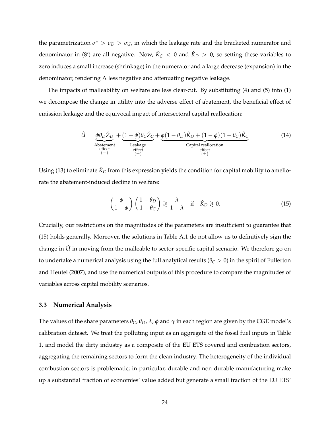the parametrization  $\sigma^* > \sigma_D > \sigma_U$ , in which the leakage rate and the bracketed numerator and denominator in (8') are all negative. Now,  $\hat{K}_{C}$   $<$  0 and  $\hat{K}_{D}$   $>$  0, so setting these variables to zero induces a small increase (shrinkage) in the numerator and a large decrease (expansion) in the denominator, rendering  $\Lambda$  less negative and attenuating negative leakage.

The impacts of malleability on welfare are less clear-cut. By substituting (4) and (5) into (1) we decompose the change in utility into the adverse effect of abatement, the beneficial effect of emission leakage and the equivocal impact of intersectoral capital reallocation:

$$
\hat{U} = \underbrace{\phi \theta_D \hat{Z}_D}_{\substack{\text{Abatement} \text{etfect} \\ \text{effect}}} + \underbrace{(1 - \phi)\theta_C \hat{Z}_C}_{\substack{\text{Leakage} \\ \text{effect}}} + \underbrace{\phi(1 - \theta_D)\hat{K}_D + (1 - \phi)(1 - \theta_C)\hat{K}_C}_{\substack{\text{capital reallocation} \\ \text{effect}}} \tag{14}
$$

Using (13) to eliminate  $\hat{K}_{C}$  from this expression yields the condition for capital mobility to ameliorate the abatement-induced decline in welfare:

$$
\left(\frac{\phi}{1-\phi}\right)\left(\frac{1-\theta_D}{1-\theta_C}\right) \geq \frac{\lambda}{1-\lambda} \quad \text{if} \quad \hat{K}_D \geq 0. \tag{15}
$$

Crucially, our restrictions on the magnitudes of the parameters are insufficient to guarantee that (15) holds generally. Moreover, the solutions in Table A.1 do not allow us to definitively sign the change in  $\hat{U}$  in moving from the malleable to sector-specific capital scenario. We therefore go on to undertake a numerical analysis using the full analytical results ( $\theta_C > 0$ ) in the spirit of Fullerton and Heutel (2007), and use the numerical outputs of this procedure to compare the magnitudes of variables across capital mobility scenarios.

## **3.3 Numerical Analysis**

The values of the share parameters  $\theta_C$ ,  $\theta_D$ ,  $\lambda$ ,  $\phi$  and  $\gamma$  in each region are given by the CGE model's calibration dataset. We treat the polluting input as an aggregate of the fossil fuel inputs in Table 1, and model the dirty industry as a composite of the EU ETS covered and combustion sectors, aggregating the remaining sectors to form the clean industry. The heterogeneity of the individual combustion sectors is problematic; in particular, durable and non-durable manufacturing make up a substantial fraction of economies' value added but generate a small fraction of the EU ETS'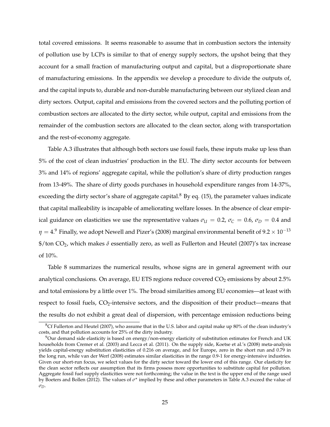total covered emissions. It seems reasonable to assume that in combustion sectors the intensity of pollution use by LCPs is similar to that of energy supply sectors, the upshot being that they account for a small fraction of manufacturing output and capital, but a disproportionate share of manufacturing emissions. In the appendix we develop a procedure to divide the outputs of, and the capital inputs to, durable and non-durable manufacturing between our stylized clean and dirty sectors. Output, capital and emissions from the covered sectors and the polluting portion of combustion sectors are allocated to the dirty sector, while output, capital and emissions from the remainder of the combustion sectors are allocated to the clean sector, along with transportation and the rest-of-economy aggregate.

Table A.3 illustrates that although both sectors use fossil fuels, these inputs make up less than 5% of the cost of clean industries' production in the EU. The dirty sector accounts for between 3% and 14% of regions' aggregate capital, while the pollution's share of dirty production ranges from 13-49%. The share of dirty goods purchases in household expenditure ranges from 14-37%, exceeding the dirty sector's share of aggregate capital. $8$  By eq. (15), the parameter values indicate that capital malleability is incapable of ameliorating welfare losses. In the absence of clear empirical guidance on elasticities we use the representative values  $\sigma_{U} = 0.2$ ,  $\sigma_{C} = 0.6$ ,  $\sigma_{D} = 0.4$  and  $\eta = 4.9$  Finally, we adopt Newell and Pizer's (2008) marginal environmental benefit of  $9.2 \times 10^{-13}$ \$/ton CO2, which makes *δ* essentially zero, as well as Fullerton and Heutel (2007)'s tax increase of 10%.

Table 8 summarizes the numerical results, whose signs are in general agreement with our analytical conclusions. On average, EU ETS regions reduce covered  $CO<sub>2</sub>$  emissions by about 2.5% and total emissions by a little over 1%. The broad similarities among EU economies—at least with respect to fossil fuels,  $CO_2$ -intensive sectors, and the disposition of their product—means that the results do not exhibit a great deal of dispersion, with percentage emission reductions being

 $8Cf$  Fullerton and Heutel (2007), who assume that in the U.S. labor and capital make up 80% of the clean industry's costs, and that pollution accounts for 25% of the dirty industry.

 $9$ Our demand side elasticity is based on energy/non-energy elasticity of substitution estimates for French and UK households from Cremer et al. (2003) and Lecca et al. (2011). On the supply side, Koetse et al.'s (2008) meta-analysis yields capital-energy substitution elasticities of 0.216 on average, and for Europe, zero in the short run and 0.79 in the long run, while van der Werf (2008) estimates similar elasticities in the range 0.9-1 for energy-intensive industries. Given our short-run focus, we select values for the dirty sector toward the lower end of this range. Our elasticity for the clean sector reflects our assumption that its firms possess more opportunities to substitute capital for pollution. Aggregate fossil fuel supply elasticities were not forthcoming; the value in the text is the upper end of the range used by Boeters and Bollen (2012). The values of  $\sigma^*$  implied by these and other parameters in Table A.3 exceed the value of *σD*.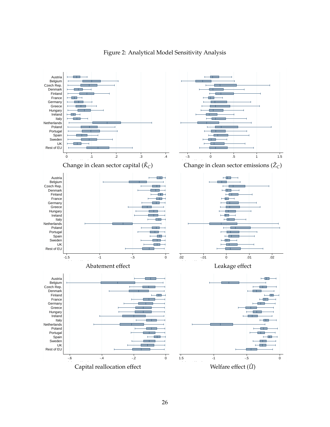

## Figure 2: Analytical Model Sensitivity Analysis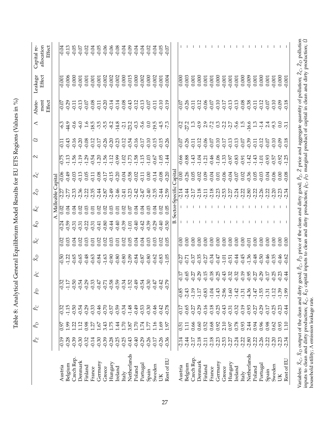| 计上述                                                      |
|----------------------------------------------------------|
|                                                          |
| יי שבעבר ביב שב בעבר שני<br>$\sim$                       |
|                                                          |
| <br> <br> <br> <br>                                      |
|                                                          |
|                                                          |
|                                                          |
|                                                          |
| $\frac{1}{1}$<br>֧֦֧֧֦֧֧֧֦֧֧֦֧֚֚֞֬֝֬֓֕֓֬֓֓֝֬֓֓֝֓֬֓֓֬֝֓֝֬ |
|                                                          |
|                                                          |
| י האייי מי ה<br>.<br>.<br>.<br>.                         |
| .<br>.<br>.                                              |
| ;<br>נ<br>I                                              |
|                                                          |
| .<br>.<br>.                                              |
| $\overline{\phantom{a}}$                                 |
|                                                          |
|                                                          |
|                                                          |
| ו<br>ג<br>ג<br>$\overline{a}$                            |
| -<br>-<br>                                               |
|                                                          |

| A. Malleable Capital<br>Sector-Specific<br>55 45 95 95 45<br>20 20 20 31 95 96<br>20 20 20 31 96 97 98<br>$-2.14$<br>유 85 <del>4</del><br>이 이 이<br>$-2.44$<br>$-2.17$<br>$-2.18$<br>$-2.18$<br>238<br>23622<br>$-3.23$<br>$-2.59$<br>$-2.27$<br>-2.47<br>-2.47<br>$-2.11$<br>$-2.77$<br>0.02<br>0.02<br>0.05<br>0.02<br>0.03<br>0.04<br>0.04<br>0.04<br>0.04<br>0.02<br>0.03<br>0.02<br>0.01<br>0.07<br>0.03<br>0.02<br>0.04<br>0.01<br>$-0.40$<br>$-0.44$<br>$-0.39$<br>$-0.40$<br>$-0.29$<br>$-0.40$<br>$-0.80$<br>$-0.39$<br>$-0.50$<br>$-0.24$<br>$-0.59$<br>$-0.41$<br>$-0.42$<br>$-0.31$<br>$-0.22$<br>$-1.01$<br>$-0.31$<br>$-0.31$<br>0.02<br>0.02<br>0.03<br>0.02<br>0.05<br>0.04<br>$\overline{0.00}$<br>0.00<br>0.00<br>0.00<br>$\overline{0.02}$<br>0.02<br>0.01<br>0.03<br>0.03<br>0.05<br>0.00<br>0.00<br>0.03<br>0.04<br>0.03<br>0.04<br>0.02<br>0.01<br>$\begin{array}{l} 36 \\ 9 \\ 9 \\ 9 \\ 1 \\ 1 \\ 2 \\ 3 \\ 4 \\ 5 \\ 6 \\ 6 \\ 7 \\ 8 \\ 9 \\ 1 \\ 1 \\ 1 \\ 1 \\ 2 \\ 3 \\ 4 \\ 5 \\ 6 \\ 7 \\ 8 \\ 9 \\ 1 \\ 1 \\ 1 \\ 2 \\ 3 \\ 4 \\ 5 \\ 7 \\ 8 \\ 7 \\ 9 \\ 1 \\ 1 \\ 2 \\ 3 \\ 4 \\ 5 \\ 7 \\ 8 \\ 7 \\ 9 \\ 1 \\ 1 \\ 2 \\ 3 \\ 4 \\ 5 \\ 4 \\ 5 \\ 7 \\ 8 \\ 9 \\ 1 \\ 1 \\ 1 \\ 2 \\ 3 \\ 4 \\ 4 \\ 5 \\ 4 \\ 5 \\ 5 \\ 4$<br>9.65<br>0.65<br>0.7<br>$71$<br>$9.35$<br>$9.35$<br>$9.27$<br>$\frac{50}{-}$<br>$-1.22$<br>0.80<br>0.62<br>0.83<br>1.05<br>$-0.34$<br>$\overline{0.27}$<br>$-0.18$<br>$\sqrt{17}$<br>9<br>9<br>9<br>9<br>9<br>$-0.15$<br>$-0.54$<br>$-0.32$<br>$-1.17$<br>$-0.50$<br>$-0.29$<br>$-0.33$<br>$-0.58$<br>$-0.59$<br>$-1.52$<br>$-0.34$<br>$-0.49$<br>$-0.30$<br>$-0.47$<br>$-0.54$<br>$-0.71$<br>$-0.47$<br>$-0.42$<br>$-0.75$<br>$-0.85$<br>$-2.43$<br>$-1.19$<br>$-0.83$<br>$-1.04$<br>$-1.17$<br>$-1.15$<br>$-1.48$<br>$-0.49$<br>$-0.46$<br>$-0.18$<br>$-0.50$<br>$-0.54$<br>$-0.29$<br>$-0.33$<br>$-0.46$<br>$-0.70$<br>$-0.59$<br>$-0.34$<br>$-0.53$<br>$-0.30$<br>$-0.42$<br>$-0.78$<br>$-0.65$<br>$-0.29$<br>$-0.16$<br>$-0.32$<br>$-0.17$<br>$-0.57$<br>$-0.27$<br>66<br>3.43<br>1.75<br>1.44<br>1.70<br>1.70<br>1.16<br>0.60<br>0.68<br>1.12<br>0.98<br>1.67<br>3.87<br>1.74<br>1.69<br>0.66<br>0.52<br>$\overline{12}$<br>1.97<br>0.97<br>1.27<br>$\Xi$<br>1.77<br>$\overline{50}$<br>$-0.26$<br>$-0.26$<br>$-0.36$<br>$-0.19$<br>$-0.28$<br>$-0.39$<br>$-0.30$<br>$-0.14$<br>$-0.30$<br>$-0.39$<br>$-0.28$<br>$-0.25$<br>$-0.25$<br>$-0.43$<br>$-0.40$<br>$-0.29$<br>$-2.14$<br>$-2.17$<br>$-2.18$<br>$-2.18$<br>$-0.32$<br>$-0.17$<br>$-2.44$<br>$-2.11$<br>Netherlands<br>Czech Rep.<br>Czech Rep.<br>Rest of EU<br>Denmark<br>Denmark<br>Germany<br>Hungary<br>Belgium<br>Portugal<br>Belgium<br>Sweden<br>Finland<br>Finland<br>Austria<br>Austria<br>Ireland<br>Greece<br>Poland<br>France<br>France<br>Spain<br>Italy<br>Ř |      |         | $-0.06$<br>$-0.15$<br>$-0.20$<br>$-0.14$<br>$-0.17$<br>$-0.04$<br>$-0.58$<br>$-0.02$<br>0.00<br>$-0.13$<br>0.05<br>$-0.49$<br>$-0.11$ | 日 딲 음 음 음 음 음 음 음 음 위 음 음 음 음 음<br>- 두 구 구 구 구 구 구 구 구 구 구 구 구 구 구 구<br>$-0.75$<br>$-0.67$<br>$-1.03$ | $-0.6$<br>$-14.8$<br>$-5.6$<br>$-6.3$<br>44.9<br>$-23.2$<br>$-0.3$<br>$-2.1$ | ment<br>Effect<br>  6 ਕ ਸ 역 6 ජ ਸ ਕ ਥ ਥ ජ ජ අ 역 역 이 ਸ 역 이<br>  9 ਰ ਰ ਰ ਰ ਰ ਰ ਰ ਰ ਰ ਰ ਰ ਰ ਰ ਰ ਰ ਰ ਰ ਰ | Effect<br>$-0.006$<br>$-0.002$<br>$-0.002$<br>$-0.001$<br>0.000<br>$-0.001$<br>0.001<br>$-0.001$<br>$-0.001$ | Effect<br>allocation<br>$-0.04$<br>$-0.13$<br>$-0.05$ |
|---------------------------------------------------------------------------------------------------------------------------------------------------------------------------------------------------------------------------------------------------------------------------------------------------------------------------------------------------------------------------------------------------------------------------------------------------------------------------------------------------------------------------------------------------------------------------------------------------------------------------------------------------------------------------------------------------------------------------------------------------------------------------------------------------------------------------------------------------------------------------------------------------------------------------------------------------------------------------------------------------------------------------------------------------------------------------------------------------------------------------------------------------------------------------------------------------------------------------------------------------------------------------------------------------------------------------------------------------------------------------------------------------------------------------------------------------------------------------------------------------------------------------------------------------------------------------------------------------------------------------------------------------------------------------------------------------------------------------------------------------------------------------------------------------------------------------------------------------------------------------------------------------------------------------------------------------------------------------------------------------------------------------------------------------------------------------------------------------------------------------------------------------------------------------------------------------------------------------------------------------------------------------------------------------------------------------------------------------------------------------------------------------------------------------------------------------------------------------------------------------------------------------------------------------------------------------------------------------------------------------------------------------------------------------------------------------------------------------------------------------------------------------------------------------------|------|---------|---------------------------------------------------------------------------------------------------------------------------------------|-------------------------------------------------------------------------------------------------------|------------------------------------------------------------------------------|------------------------------------------------------------------------------------------------------|--------------------------------------------------------------------------------------------------------------|-------------------------------------------------------|
|                                                                                                                                                                                                                                                                                                                                                                                                                                                                                                                                                                                                                                                                                                                                                                                                                                                                                                                                                                                                                                                                                                                                                                                                                                                                                                                                                                                                                                                                                                                                                                                                                                                                                                                                                                                                                                                                                                                                                                                                                                                                                                                                                                                                                                                                                                                                                                                                                                                                                                                                                                                                                                                                                                                                                                                                         |      |         |                                                                                                                                       |                                                                                                       |                                                                              |                                                                                                      |                                                                                                              |                                                       |
|                                                                                                                                                                                                                                                                                                                                                                                                                                                                                                                                                                                                                                                                                                                                                                                                                                                                                                                                                                                                                                                                                                                                                                                                                                                                                                                                                                                                                                                                                                                                                                                                                                                                                                                                                                                                                                                                                                                                                                                                                                                                                                                                                                                                                                                                                                                                                                                                                                                                                                                                                                                                                                                                                                                                                                                                         |      |         |                                                                                                                                       |                                                                                                       |                                                                              |                                                                                                      |                                                                                                              |                                                       |
|                                                                                                                                                                                                                                                                                                                                                                                                                                                                                                                                                                                                                                                                                                                                                                                                                                                                                                                                                                                                                                                                                                                                                                                                                                                                                                                                                                                                                                                                                                                                                                                                                                                                                                                                                                                                                                                                                                                                                                                                                                                                                                                                                                                                                                                                                                                                                                                                                                                                                                                                                                                                                                                                                                                                                                                                         |      |         |                                                                                                                                       |                                                                                                       |                                                                              |                                                                                                      |                                                                                                              |                                                       |
|                                                                                                                                                                                                                                                                                                                                                                                                                                                                                                                                                                                                                                                                                                                                                                                                                                                                                                                                                                                                                                                                                                                                                                                                                                                                                                                                                                                                                                                                                                                                                                                                                                                                                                                                                                                                                                                                                                                                                                                                                                                                                                                                                                                                                                                                                                                                                                                                                                                                                                                                                                                                                                                                                                                                                                                                         |      |         |                                                                                                                                       |                                                                                                       |                                                                              |                                                                                                      |                                                                                                              |                                                       |
|                                                                                                                                                                                                                                                                                                                                                                                                                                                                                                                                                                                                                                                                                                                                                                                                                                                                                                                                                                                                                                                                                                                                                                                                                                                                                                                                                                                                                                                                                                                                                                                                                                                                                                                                                                                                                                                                                                                                                                                                                                                                                                                                                                                                                                                                                                                                                                                                                                                                                                                                                                                                                                                                                                                                                                                                         |      |         |                                                                                                                                       |                                                                                                       |                                                                              |                                                                                                      |                                                                                                              |                                                       |
|                                                                                                                                                                                                                                                                                                                                                                                                                                                                                                                                                                                                                                                                                                                                                                                                                                                                                                                                                                                                                                                                                                                                                                                                                                                                                                                                                                                                                                                                                                                                                                                                                                                                                                                                                                                                                                                                                                                                                                                                                                                                                                                                                                                                                                                                                                                                                                                                                                                                                                                                                                                                                                                                                                                                                                                                         |      |         |                                                                                                                                       |                                                                                                       |                                                                              |                                                                                                      |                                                                                                              |                                                       |
|                                                                                                                                                                                                                                                                                                                                                                                                                                                                                                                                                                                                                                                                                                                                                                                                                                                                                                                                                                                                                                                                                                                                                                                                                                                                                                                                                                                                                                                                                                                                                                                                                                                                                                                                                                                                                                                                                                                                                                                                                                                                                                                                                                                                                                                                                                                                                                                                                                                                                                                                                                                                                                                                                                                                                                                                         |      |         |                                                                                                                                       |                                                                                                       |                                                                              |                                                                                                      |                                                                                                              | $-0.07$                                               |
|                                                                                                                                                                                                                                                                                                                                                                                                                                                                                                                                                                                                                                                                                                                                                                                                                                                                                                                                                                                                                                                                                                                                                                                                                                                                                                                                                                                                                                                                                                                                                                                                                                                                                                                                                                                                                                                                                                                                                                                                                                                                                                                                                                                                                                                                                                                                                                                                                                                                                                                                                                                                                                                                                                                                                                                                         |      |         |                                                                                                                                       |                                                                                                       |                                                                              |                                                                                                      |                                                                                                              | $-0.02$                                               |
|                                                                                                                                                                                                                                                                                                                                                                                                                                                                                                                                                                                                                                                                                                                                                                                                                                                                                                                                                                                                                                                                                                                                                                                                                                                                                                                                                                                                                                                                                                                                                                                                                                                                                                                                                                                                                                                                                                                                                                                                                                                                                                                                                                                                                                                                                                                                                                                                                                                                                                                                                                                                                                                                                                                                                                                                         |      |         |                                                                                                                                       |                                                                                                       |                                                                              |                                                                                                      |                                                                                                              | $-0.04$                                               |
|                                                                                                                                                                                                                                                                                                                                                                                                                                                                                                                                                                                                                                                                                                                                                                                                                                                                                                                                                                                                                                                                                                                                                                                                                                                                                                                                                                                                                                                                                                                                                                                                                                                                                                                                                                                                                                                                                                                                                                                                                                                                                                                                                                                                                                                                                                                                                                                                                                                                                                                                                                                                                                                                                                                                                                                                         |      |         |                                                                                                                                       |                                                                                                       |                                                                              |                                                                                                      |                                                                                                              |                                                       |
|                                                                                                                                                                                                                                                                                                                                                                                                                                                                                                                                                                                                                                                                                                                                                                                                                                                                                                                                                                                                                                                                                                                                                                                                                                                                                                                                                                                                                                                                                                                                                                                                                                                                                                                                                                                                                                                                                                                                                                                                                                                                                                                                                                                                                                                                                                                                                                                                                                                                                                                                                                                                                                                                                                                                                                                                         |      |         |                                                                                                                                       |                                                                                                       |                                                                              |                                                                                                      |                                                                                                              | $-0.05$                                               |
|                                                                                                                                                                                                                                                                                                                                                                                                                                                                                                                                                                                                                                                                                                                                                                                                                                                                                                                                                                                                                                                                                                                                                                                                                                                                                                                                                                                                                                                                                                                                                                                                                                                                                                                                                                                                                                                                                                                                                                                                                                                                                                                                                                                                                                                                                                                                                                                                                                                                                                                                                                                                                                                                                                                                                                                                         |      |         |                                                                                                                                       |                                                                                                       |                                                                              |                                                                                                      |                                                                                                              |                                                       |
|                                                                                                                                                                                                                                                                                                                                                                                                                                                                                                                                                                                                                                                                                                                                                                                                                                                                                                                                                                                                                                                                                                                                                                                                                                                                                                                                                                                                                                                                                                                                                                                                                                                                                                                                                                                                                                                                                                                                                                                                                                                                                                                                                                                                                                                                                                                                                                                                                                                                                                                                                                                                                                                                                                                                                                                                         |      |         |                                                                                                                                       |                                                                                                       |                                                                              |                                                                                                      | $-0.002$                                                                                                     | $68870$<br>$9999$<br>$9999$                           |
|                                                                                                                                                                                                                                                                                                                                                                                                                                                                                                                                                                                                                                                                                                                                                                                                                                                                                                                                                                                                                                                                                                                                                                                                                                                                                                                                                                                                                                                                                                                                                                                                                                                                                                                                                                                                                                                                                                                                                                                                                                                                                                                                                                                                                                                                                                                                                                                                                                                                                                                                                                                                                                                                                                                                                                                                         |      |         |                                                                                                                                       |                                                                                                       |                                                                              |                                                                                                      | 0.000                                                                                                        |                                                       |
|                                                                                                                                                                                                                                                                                                                                                                                                                                                                                                                                                                                                                                                                                                                                                                                                                                                                                                                                                                                                                                                                                                                                                                                                                                                                                                                                                                                                                                                                                                                                                                                                                                                                                                                                                                                                                                                                                                                                                                                                                                                                                                                                                                                                                                                                                                                                                                                                                                                                                                                                                                                                                                                                                                                                                                                                         |      |         |                                                                                                                                       |                                                                                                       |                                                                              |                                                                                                      | $-0.015$                                                                                                     |                                                       |
|                                                                                                                                                                                                                                                                                                                                                                                                                                                                                                                                                                                                                                                                                                                                                                                                                                                                                                                                                                                                                                                                                                                                                                                                                                                                                                                                                                                                                                                                                                                                                                                                                                                                                                                                                                                                                                                                                                                                                                                                                                                                                                                                                                                                                                                                                                                                                                                                                                                                                                                                                                                                                                                                                                                                                                                                         |      |         |                                                                                                                                       |                                                                                                       |                                                                              |                                                                                                      | 0.000                                                                                                        |                                                       |
|                                                                                                                                                                                                                                                                                                                                                                                                                                                                                                                                                                                                                                                                                                                                                                                                                                                                                                                                                                                                                                                                                                                                                                                                                                                                                                                                                                                                                                                                                                                                                                                                                                                                                                                                                                                                                                                                                                                                                                                                                                                                                                                                                                                                                                                                                                                                                                                                                                                                                                                                                                                                                                                                                                                                                                                                         |      |         |                                                                                                                                       |                                                                                                       |                                                                              |                                                                                                      | $-0.002$                                                                                                     | $-0.04$                                               |
|                                                                                                                                                                                                                                                                                                                                                                                                                                                                                                                                                                                                                                                                                                                                                                                                                                                                                                                                                                                                                                                                                                                                                                                                                                                                                                                                                                                                                                                                                                                                                                                                                                                                                                                                                                                                                                                                                                                                                                                                                                                                                                                                                                                                                                                                                                                                                                                                                                                                                                                                                                                                                                                                                                                                                                                                         |      |         |                                                                                                                                       |                                                                                                       |                                                                              |                                                                                                      | 0.000                                                                                                        | $-0.02$                                               |
|                                                                                                                                                                                                                                                                                                                                                                                                                                                                                                                                                                                                                                                                                                                                                                                                                                                                                                                                                                                                                                                                                                                                                                                                                                                                                                                                                                                                                                                                                                                                                                                                                                                                                                                                                                                                                                                                                                                                                                                                                                                                                                                                                                                                                                                                                                                                                                                                                                                                                                                                                                                                                                                                                                                                                                                                         |      |         |                                                                                                                                       |                                                                                                       |                                                                              |                                                                                                      | $-0.002$                                                                                                     | $-0.04$                                               |
|                                                                                                                                                                                                                                                                                                                                                                                                                                                                                                                                                                                                                                                                                                                                                                                                                                                                                                                                                                                                                                                                                                                                                                                                                                                                                                                                                                                                                                                                                                                                                                                                                                                                                                                                                                                                                                                                                                                                                                                                                                                                                                                                                                                                                                                                                                                                                                                                                                                                                                                                                                                                                                                                                                                                                                                                         |      |         |                                                                                                                                       |                                                                                                       | $-19.5$<br>$-19.5$<br>$-7.3$                                                 |                                                                                                      | $-0.001$                                                                                                     | $-0.05$                                               |
|                                                                                                                                                                                                                                                                                                                                                                                                                                                                                                                                                                                                                                                                                                                                                                                                                                                                                                                                                                                                                                                                                                                                                                                                                                                                                                                                                                                                                                                                                                                                                                                                                                                                                                                                                                                                                                                                                                                                                                                                                                                                                                                                                                                                                                                                                                                                                                                                                                                                                                                                                                                                                                                                                                                                                                                                         |      |         | $-1.44$<br>$-0.20$                                                                                                                    | $-0.26$                                                                                               |                                                                              |                                                                                                      | $-0.004$                                                                                                     | $-0.07$                                               |
|                                                                                                                                                                                                                                                                                                                                                                                                                                                                                                                                                                                                                                                                                                                                                                                                                                                                                                                                                                                                                                                                                                                                                                                                                                                                                                                                                                                                                                                                                                                                                                                                                                                                                                                                                                                                                                                                                                                                                                                                                                                                                                                                                                                                                                                                                                                                                                                                                                                                                                                                                                                                                                                                                                                                                                                                         |      |         | Capita                                                                                                                                |                                                                                                       |                                                                              |                                                                                                      |                                                                                                              |                                                       |
|                                                                                                                                                                                                                                                                                                                                                                                                                                                                                                                                                                                                                                                                                                                                                                                                                                                                                                                                                                                                                                                                                                                                                                                                                                                                                                                                                                                                                                                                                                                                                                                                                                                                                                                                                                                                                                                                                                                                                                                                                                                                                                                                                                                                                                                                                                                                                                                                                                                                                                                                                                                                                                                                                                                                                                                                         |      |         | 0.00                                                                                                                                  |                                                                                                       |                                                                              |                                                                                                      | $\overline{0.000}$                                                                                           |                                                       |
|                                                                                                                                                                                                                                                                                                                                                                                                                                                                                                                                                                                                                                                                                                                                                                                                                                                                                                                                                                                                                                                                                                                                                                                                                                                                                                                                                                                                                                                                                                                                                                                                                                                                                                                                                                                                                                                                                                                                                                                                                                                                                                                                                                                                                                                                                                                                                                                                                                                                                                                                                                                                                                                                                                                                                                                                         |      |         | $-0.26$                                                                                                                               |                                                                                                       | $\frac{1}{9}$<br>27.2                                                        |                                                                                                      | $-0.003$                                                                                                     |                                                       |
|                                                                                                                                                                                                                                                                                                                                                                                                                                                                                                                                                                                                                                                                                                                                                                                                                                                                                                                                                                                                                                                                                                                                                                                                                                                                                                                                                                                                                                                                                                                                                                                                                                                                                                                                                                                                                                                                                                                                                                                                                                                                                                                                                                                                                                                                                                                                                                                                                                                                                                                                                                                                                                                                                                                                                                                                         |      |         | 0.05                                                                                                                                  |                                                                                                       |                                                                              |                                                                                                      | 0.001                                                                                                        |                                                       |
|                                                                                                                                                                                                                                                                                                                                                                                                                                                                                                                                                                                                                                                                                                                                                                                                                                                                                                                                                                                                                                                                                                                                                                                                                                                                                                                                                                                                                                                                                                                                                                                                                                                                                                                                                                                                                                                                                                                                                                                                                                                                                                                                                                                                                                                                                                                                                                                                                                                                                                                                                                                                                                                                                                                                                                                                         |      |         | $-0.02$                                                                                                                               |                                                                                                       |                                                                              |                                                                                                      | 0.000                                                                                                        |                                                       |
|                                                                                                                                                                                                                                                                                                                                                                                                                                                                                                                                                                                                                                                                                                                                                                                                                                                                                                                                                                                                                                                                                                                                                                                                                                                                                                                                                                                                                                                                                                                                                                                                                                                                                                                                                                                                                                                                                                                                                                                                                                                                                                                                                                                                                                                                                                                                                                                                                                                                                                                                                                                                                                                                                                                                                                                                         |      |         |                                                                                                                                       | 0.68<br>0.88<br>0.7 7 7 9<br>0.9 7 7 7 9                                                              |                                                                              |                                                                                                      | 0.001                                                                                                        |                                                       |
|                                                                                                                                                                                                                                                                                                                                                                                                                                                                                                                                                                                                                                                                                                                                                                                                                                                                                                                                                                                                                                                                                                                                                                                                                                                                                                                                                                                                                                                                                                                                                                                                                                                                                                                                                                                                                                                                                                                                                                                                                                                                                                                                                                                                                                                                                                                                                                                                                                                                                                                                                                                                                                                                                                                                                                                                         |      |         | $-0.04$                                                                                                                               |                                                                                                       |                                                                              |                                                                                                      | $-0.001$                                                                                                     |                                                       |
| $-0.47$<br>$-0.43$<br>$-1.43$<br>$-0.25$<br>0.92<br>$-2.23$<br>Germany                                                                                                                                                                                                                                                                                                                                                                                                                                                                                                                                                                                                                                                                                                                                                                                                                                                                                                                                                                                                                                                                                                                                                                                                                                                                                                                                                                                                                                                                                                                                                                                                                                                                                                                                                                                                                                                                                                                                                                                                                                                                                                                                                                                                                                                                                                                                                                                                                                                                                                                                                                                                                                                                                                                                  | 0.00 | $-2.23$ | 0.01                                                                                                                                  |                                                                                                       | $\begin{array}{c}\n 1.9 \\  1.9 \\  0.9 \\  1.9\n \end{array}$               |                                                                                                      | 0.000                                                                                                        |                                                       |
| $-2.53$<br>0.00<br>$-1.01$<br>$-2.96$<br>$-0.43$<br>2.10<br>$-2.53$<br>Greece                                                                                                                                                                                                                                                                                                                                                                                                                                                                                                                                                                                                                                                                                                                                                                                                                                                                                                                                                                                                                                                                                                                                                                                                                                                                                                                                                                                                                                                                                                                                                                                                                                                                                                                                                                                                                                                                                                                                                                                                                                                                                                                                                                                                                                                                                                                                                                                                                                                                                                                                                                                                                                                                                                                           |      |         |                                                                                                                                       |                                                                                                       |                                                                              |                                                                                                      | $-0.001$                                                                                                     |                                                       |
| $-2.27$<br>0.00<br>$-0.51$<br>$328$<br>$932$<br>$919$<br>$-1.60$<br>$-0.31$<br>0.97<br>$-2.27$<br>Hungary                                                                                                                                                                                                                                                                                                                                                                                                                                                                                                                                                                                                                                                                                                                                                                                                                                                                                                                                                                                                                                                                                                                                                                                                                                                                                                                                                                                                                                                                                                                                                                                                                                                                                                                                                                                                                                                                                                                                                                                                                                                                                                                                                                                                                                                                                                                                                                                                                                                                                                                                                                                                                                                                                               |      |         | $-0.04$                                                                                                                               |                                                                                                       |                                                                              |                                                                                                      | $-0.001$                                                                                                     |                                                       |
| $-2.24$<br>0.00<br>$-0.44$<br>$-1.42$<br>$-0.32$<br>0.78<br>$-2.24$<br>Ireland                                                                                                                                                                                                                                                                                                                                                                                                                                                                                                                                                                                                                                                                                                                                                                                                                                                                                                                                                                                                                                                                                                                                                                                                                                                                                                                                                                                                                                                                                                                                                                                                                                                                                                                                                                                                                                                                                                                                                                                                                                                                                                                                                                                                                                                                                                                                                                                                                                                                                                                                                                                                                                                                                                                          |      |         | $-0.07$                                                                                                                               |                                                                                                       |                                                                              |                                                                                                      | $-0.001$                                                                                                     |                                                       |
| $-2.22$<br>0.00<br>$-0.45$<br>$-1.31$<br>$-0.19$<br>0.93<br>$-2.22$<br>Italy                                                                                                                                                                                                                                                                                                                                                                                                                                                                                                                                                                                                                                                                                                                                                                                                                                                                                                                                                                                                                                                                                                                                                                                                                                                                                                                                                                                                                                                                                                                                                                                                                                                                                                                                                                                                                                                                                                                                                                                                                                                                                                                                                                                                                                                                                                                                                                                                                                                                                                                                                                                                                                                                                                                            |      |         | $0.02$<br>0.36                                                                                                                        |                                                                                                       |                                                                              |                                                                                                      | 0.000                                                                                                        |                                                       |
| $-2.80$<br>$-0.01$<br>$-1.36$<br>$-0.95$<br>$-0.27$<br>$-4.36$<br>$-0.93$<br>2.44<br>$-2.80$<br>Netherlands                                                                                                                                                                                                                                                                                                                                                                                                                                                                                                                                                                                                                                                                                                                                                                                                                                                                                                                                                                                                                                                                                                                                                                                                                                                                                                                                                                                                                                                                                                                                                                                                                                                                                                                                                                                                                                                                                                                                                                                                                                                                                                                                                                                                                                                                                                                                                                                                                                                                                                                                                                                                                                                                                             |      |         |                                                                                                                                       |                                                                                                       |                                                                              |                                                                                                      | $-0.009$                                                                                                     |                                                       |
| $-2.22$<br>0.00<br>$-0.48$<br>$-1.47$<br>$-0.27$<br>0.94<br>$-2.22$<br>Poland                                                                                                                                                                                                                                                                                                                                                                                                                                                                                                                                                                                                                                                                                                                                                                                                                                                                                                                                                                                                                                                                                                                                                                                                                                                                                                                                                                                                                                                                                                                                                                                                                                                                                                                                                                                                                                                                                                                                                                                                                                                                                                                                                                                                                                                                                                                                                                                                                                                                                                                                                                                                                                                                                                                           |      |         | 0.05                                                                                                                                  |                                                                                                       | 1.3                                                                          |                                                                                                      | 0.001                                                                                                        |                                                       |
| $-2.26$<br>0.00<br>$-0.50$<br>$-0.29$<br>$-1.55$<br>$-0.29$<br>0.96<br>$-2.26$<br>Portugal                                                                                                                                                                                                                                                                                                                                                                                                                                                                                                                                                                                                                                                                                                                                                                                                                                                                                                                                                                                                                                                                                                                                                                                                                                                                                                                                                                                                                                                                                                                                                                                                                                                                                                                                                                                                                                                                                                                                                                                                                                                                                                                                                                                                                                                                                                                                                                                                                                                                                                                                                                                                                                                                                                              |      |         |                                                                                                                                       |                                                                                                       | $-1.4$                                                                       |                                                                                                      | 0.000                                                                                                        |                                                       |
| $-2.22$<br>0.00<br>$-0.46$<br>$-0.17$<br>$-1.31$<br>$-0.17$<br>0.98<br>$-2.22$<br>Spain                                                                                                                                                                                                                                                                                                                                                                                                                                                                                                                                                                                                                                                                                                                                                                                                                                                                                                                                                                                                                                                                                                                                                                                                                                                                                                                                                                                                                                                                                                                                                                                                                                                                                                                                                                                                                                                                                                                                                                                                                                                                                                                                                                                                                                                                                                                                                                                                                                                                                                                                                                                                                                                                                                                 |      |         | 0.04                                                                                                                                  | $-0.93$                                                                                               | 2.4                                                                          |                                                                                                      | 0.001                                                                                                        |                                                       |
| $-2.20$<br>0.00<br>$-0.35$<br>$-0.25$<br>$-1.12$<br>$-0.25$<br>0.62<br>$-2.20$<br>Sweden                                                                                                                                                                                                                                                                                                                                                                                                                                                                                                                                                                                                                                                                                                                                                                                                                                                                                                                                                                                                                                                                                                                                                                                                                                                                                                                                                                                                                                                                                                                                                                                                                                                                                                                                                                                                                                                                                                                                                                                                                                                                                                                                                                                                                                                                                                                                                                                                                                                                                                                                                                                                                                                                                                                |      |         |                                                                                                                                       |                                                                                                       | $-9.3$                                                                       |                                                                                                      | $-0.001$                                                                                                     |                                                       |
| -2.34<br>-2.34<br>0.00<br>0.46<br>$-0.23$<br>$-1.39$<br>$-0.23$<br>0.93<br>$-2.33$<br>Ř                                                                                                                                                                                                                                                                                                                                                                                                                                                                                                                                                                                                                                                                                                                                                                                                                                                                                                                                                                                                                                                                                                                                                                                                                                                                                                                                                                                                                                                                                                                                                                                                                                                                                                                                                                                                                                                                                                                                                                                                                                                                                                                                                                                                                                                                                                                                                                                                                                                                                                                                                                                                                                                                                                                 |      |         | 0.06                                                                                                                                  | -0.57<br>0.92<br>1.25                                                                                 | 0.0                                                                          |                                                                                                      | 0.000                                                                                                        |                                                       |
| 0.00<br>$-0.62$<br>$-0.44$<br>$-1.99$<br>$-0.44$<br>1.10<br>Rest of EU                                                                                                                                                                                                                                                                                                                                                                                                                                                                                                                                                                                                                                                                                                                                                                                                                                                                                                                                                                                                                                                                                                                                                                                                                                                                                                                                                                                                                                                                                                                                                                                                                                                                                                                                                                                                                                                                                                                                                                                                                                                                                                                                                                                                                                                                                                                                                                                                                                                                                                                                                                                                                                                                                                                                  |      |         | 0.08                                                                                                                                  |                                                                                                       |                                                                              |                                                                                                      | 0.001                                                                                                        |                                                       |

Variables: inputs to clean and dirty production; ˆ*KC*, ˆ*K D* capital inputs to clean and dirty production; ˆ*ρC*, ˆ*ρD* marginal product of capital in clean and dirty production; household utility; Λemission leakage rate.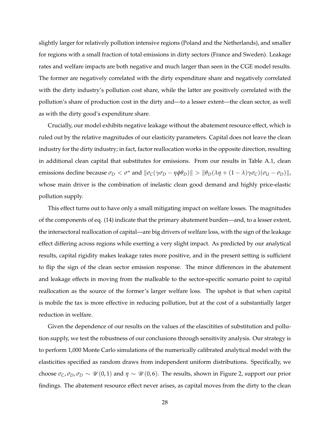slightly larger for relatively pollution intensive regions (Poland and the Netherlands), and smaller for regions with a small fraction of total emissions in dirty sectors (France and Sweden). Leakage rates and welfare impacts are both negative and much larger than seen in the CGE model results. The former are negatively correlated with the dirty expenditure share and negatively correlated with the dirty industry's pollution cost share, while the latter are positively correlated with the pollution's share of production cost in the dirty and—to a lesser extent—the clean sector, as well as with the dirty good's expenditure share.

Crucially, our model exhibits negative leakage without the abatement resource effect, which is ruled out by the relative magnitudes of our elasticity parameters. Capital does not leave the clean industry for the dirty industry; in fact, factor reallocation works in the opposite direction, resulting in additional clean capital that substitutes for emissions. From our results in Table A.1, clean  $\| \textit{m}$  emissions decline because  $\sigma_D < \sigma^*$  and  $\| \sigma_C(\gamma \sigma_D - \eta \phi \theta_D) \| > \| \theta_D(\lambda \eta + (1 - \lambda) \gamma \sigma_C)(\sigma_U - \sigma_D) \|$ , whose main driver is the combination of inelastic clean good demand and highly price-elastic pollution supply.

This effect turns out to have only a small mitigating impact on welfare losses. The magnitudes of the components of eq. (14) indicate that the primary abatement burden—and, to a lesser extent, the intersectoral reallocation of capital—are big drivers of welfare loss, with the sign of the leakage effect differing across regions while exerting a very slight impact. As predicted by our analytical results, capital rigidity makes leakage rates more positive, and in the present setting is sufficient to flip the sign of the clean sector emission response. The minor differences in the abatement and leakage effects in moving from the malleable to the sector-specific scenario point to capital reallocation as the source of the former's larger welfare loss. The upshot is that when capital is mobile the tax is more effective in reducing pollution, but at the cost of a substantially larger reduction in welfare.

Given the dependence of our results on the values of the elascitities of substitution and pollution supply, we test the robustness of our conclusions through sensitivity analysis. Our strategy is to perform 1,000 Monte Carlo simulations of the numerically calibrated analytical model with the elasticities specified as random draws from independent uniform distributions. Specifically, we choose  $\sigma_C$ ,  $\sigma_D$ ,  $\sigma_D \sim \mathcal{U}(0,1)$  and  $\eta \sim \mathcal{U}(0,6)$ . The results, shown in Figure 2, support our prior findings. The abatement resource effect never arises, as capital moves from the dirty to the clean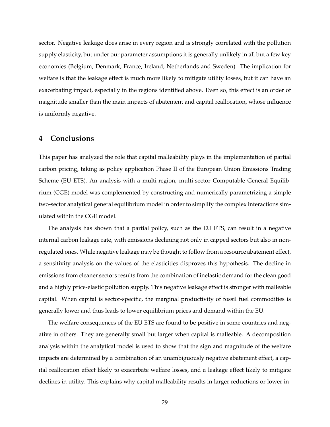sector. Negative leakage does arise in every region and is strongly correlated with the pollution supply elasticity, but under our parameter assumptions it is generally unlikely in all but a few key economies (Belgium, Denmark, France, Ireland, Netherlands and Sweden). The implication for welfare is that the leakage effect is much more likely to mitigate utility losses, but it can have an exacerbating impact, especially in the regions identified above. Even so, this effect is an order of magnitude smaller than the main impacts of abatement and capital reallocation, whose influence is uniformly negative.

## **4 Conclusions**

This paper has analyzed the role that capital malleability plays in the implementation of partial carbon pricing, taking as policy application Phase II of the European Union Emissions Trading Scheme (EU ETS). An analysis with a multi-region, multi-sector Computable General Equilibrium (CGE) model was complemented by constructing and numerically parametrizing a simple two-sector analytical general equilibrium model in order to simplify the complex interactions simulated within the CGE model.

The analysis has shown that a partial policy, such as the EU ETS, can result in a negative internal carbon leakage rate, with emissions declining not only in capped sectors but also in nonregulated ones. While negative leakage may be thought to follow from a resource abatement effect, a sensitivity analysis on the values of the elasticities disproves this hypothesis. The decline in emissions from cleaner sectors results from the combination of inelastic demand for the clean good and a highly price-elastic pollution supply. This negative leakage effect is stronger with malleable capital. When capital is sector-specific, the marginal productivity of fossil fuel commodities is generally lower and thus leads to lower equilibrium prices and demand within the EU.

The welfare consequences of the EU ETS are found to be positive in some countries and negative in others. They are generally small but larger when capital is malleable. A decomposition analysis within the analytical model is used to show that the sign and magnitude of the welfare impacts are determined by a combination of an unambiguously negative abatement effect, a capital reallocation effect likely to exacerbate welfare losses, and a leakage effect likely to mitigate declines in utility. This explains why capital malleability results in larger reductions or lower in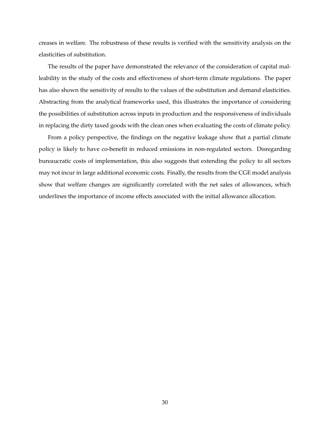creases in welfare. The robustness of these results is verified with the sensitivity analysis on the elasticities of substitution.

The results of the paper have demonstrated the relevance of the consideration of capital malleability in the study of the costs and effectiveness of short-term climate regulations. The paper has also shown the sensitivity of results to the values of the substitution and demand elasticities. Abstracting from the analytical frameworks used, this illustrates the importance of considering the possibilities of substitution across inputs in production and the responsiveness of individuals in replacing the dirty taxed goods with the clean ones when evaluating the costs of climate policy.

From a policy perspective, the findings on the negative leakage show that a partial climate policy is likely to have co-benefit in reduced emissions in non-regulated sectors. Disregarding bureaucratic costs of implementation, this also suggests that extending the policy to all sectors may not incur in large additional economic costs. Finally, the results from the CGE model analysis show that welfare changes are significantly correlated with the net sales of allowances, which underlines the importance of income effects associated with the initial allowance allocation.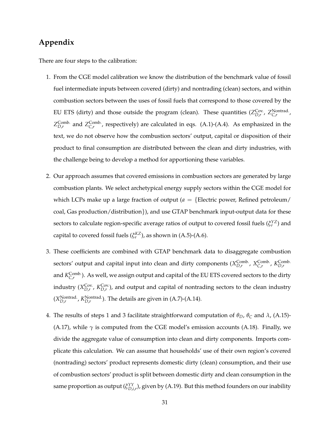## **Appendix**

There are four steps to the calibration:

- 1. From the CGE model calibration we know the distribution of the benchmark value of fossil fuel intermediate inputs between covered (dirty) and nontrading (clean) sectors, and within combustion sectors between the uses of fossil fuels that correspond to those covered by the EU ETS (dirty) and those outside the program (clean). These quantities ( $Z_{D,r}^{\text{Cov}}$ ,  $Z_{C,r}^{\text{Nontrad.}}$  $Z_{D,r}^{\text{Comb.}}$  and  $Z_{C,r}^{\text{Comb.}}$ , respectively) are calculated in eqs. (A.1)-(A.4). As emphasized in the text, we do not observe how the combustion sectors' output, capital or disposition of their product to final consumption are distributed between the clean and dirty industries, with the challenge being to develop a method for apportioning these variables.
- 2. Our approach assumes that covered emissions in combustion sectors are generated by large combustion plants. We select archetypical energy supply sectors within the CGE model for which LCPs make up a large fraction of output ( $a = \{$ Electric power, Refined petroleum/ coal, Gas production/distribution}), and use GTAP benchmark input-output data for these sectors to calculate region-specific average ratios of output to covered fossil fuels  $(\xi_r^{YZ})$  and capital to covered fossil fuels ( $\zeta_r^{KZ}$ ), as shown in (A.5)-(A.6).
- 3. These coefficients are combined with GTAP benchmark data to disaggregate combustion sectors' output and capital input into clean and dirty components ( $X_{D,r}^{Comb.}$ ,  $X_{C,r}^{Comb.}$ ,  $K_{D,r}^{Comb.}$ and  $K^{\text{Comb.}}_{C,r}$ ). As well, we assign output and capital of the EU ETS covered sectors to the dirty industry  $(X_{D,r}^{\text{Cov.}}$ ,  $K_{D,r}^{\text{Cov.}})$ , and output and capital of nontrading sectors to the clean industry  $(X_{D,r}^{\text{Nontrad.}}, K_{D,r}^{\text{Nontrad.}})$ . The details are given in (A.7)-(A.14).
- 4. The results of steps 1 and 3 facilitate straightforward computation of  $\theta_D$ ,  $\theta_C$  and  $\lambda$ , (A.15)-(A.17), while  $\gamma$  is computed from the CGE model's emission accounts (A.18). Finally, we divide the aggregate value of consumption into clean and dirty components. Imports complicate this calculation. We can assume that households' use of their own region's covered (nontrading) sectors' product represents domestic dirty (clean) consumption, and their use of combustion sectors' product is split between domestic dirty and clean consumption in the same proportion as output ( $\zeta_{D,i,r}^{YY}$ ), given by (A.19). But this method founders on our inability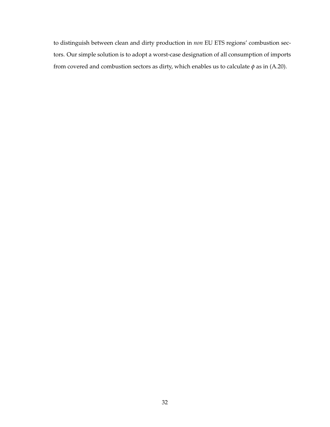to distinguish between clean and dirty production in *non* EU ETS regions' combustion sectors. Our simple solution is to adopt a worst-case designation of all consumption of imports from covered and combustion sectors as dirty, which enables us to calculate  $\phi$  as in (A.20).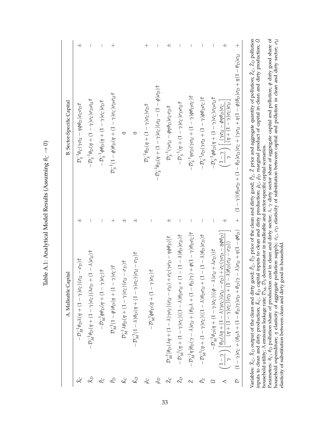|                              | A. Malleable Capital                                                                                                                                                                                                                                   |                          | <b>B.</b> Sector-Specific Capital                                                                                                                                                                                                                                                                                                                                                                                                                                                                                                    |                          |
|------------------------------|--------------------------------------------------------------------------------------------------------------------------------------------------------------------------------------------------------------------------------------------------------|--------------------------|--------------------------------------------------------------------------------------------------------------------------------------------------------------------------------------------------------------------------------------------------------------------------------------------------------------------------------------------------------------------------------------------------------------------------------------------------------------------------------------------------------------------------------------|--------------------------|
| $\chi_{\text{C}}^{\text{C}}$ | $-\mathcal{D}_{M}^{-1}\theta_{D}\lambda(\eta+(1-\gamma)\sigma_{C})(\sigma_{U}-\sigma_{D})\hat{\tau}$                                                                                                                                                   | $\overline{+}$           | $\mathcal{D}_S^{-1}\theta_C(\gamma\sigma_{\text{U}}-\eta\phi\theta_D)\sigma_C\sigma_D\hat{\tau}$                                                                                                                                                                                                                                                                                                                                                                                                                                     | $\overline{+}$           |
| $\hat{X}_D$                  | $-\mathcal{D}_M^{-1}\theta_D(\eta+(1-\gamma)c_C)(\lambda\sigma_D+(1-\lambda)\sigma_U)\hat{\tau}$                                                                                                                                                       | $\mid$                   | $-\mathcal{D}_S^{-1}\theta_D(\eta+(1-\gamma)\sigma_C)\sigma_D\sigma_U\hat{\tau}$                                                                                                                                                                                                                                                                                                                                                                                                                                                     | $\overline{\phantom{a}}$ |
| $\hat{P_{C}}$                | $-\mathcal{D}_M^{-1}\phi\theta_D(\eta+(1-\gamma)\sigma_{\mathbb{C}}) \hat{\tau}$                                                                                                                                                                       |                          | $-\mathcal{D}_{\mathcal{S}}^{-1}\phi\theta_D(\eta+(1-\gamma)\sigma_{\mathbb{C}})\sigma_{\mathbb{D}}\hat{\tau}$                                                                                                                                                                                                                                                                                                                                                                                                                       | $\overline{\phantom{a}}$ |
| $\hat{P}_{D}$                | ${\cal D}_M^{-1}(1-\phi)\theta_D(\eta+(1-\gamma)\sigma_{\Bbb C})\hat\tau$                                                                                                                                                                              | $^{+}$                   | $\mathcal{D}_S^{-1}(1-\phi)\theta_D(\eta+(1-\gamma)\sigma_C)\sigma_D\sigma_U\hat{\tau}$                                                                                                                                                                                                                                                                                                                                                                                                                                              | $^{+}$                   |
| $\chi_{\text{C}}$            | $\mathcal{D}_M^{-1}\lambda\theta_D(\eta+(1-\gamma)\sigma_C)(\sigma_U-\sigma_D)\hat{\tau}$                                                                                                                                                              | $\overline{+}$           |                                                                                                                                                                                                                                                                                                                                                                                                                                                                                                                                      |                          |
| $\hat{K}_D$                  | $-\mathcal{D}_M^{-1}(1-\lambda)\theta_D(\eta+(1-\gamma)\sigma_{\rm C})(\sigma_{\rm U}-\sigma_{\rm D})\hat{\tau}$                                                                                                                                       | $\overline{+}$           | 0                                                                                                                                                                                                                                                                                                                                                                                                                                                                                                                                    |                          |
| $\hat{\rho}_C$               | $-\mathcal{D}_M^{-1}\phi\theta_D(\eta+(1-\gamma)\sigma_{\mathbb{C}})\hat{\tau}$                                                                                                                                                                        |                          | $\mathcal{D}_S^{-1}\theta_D(\eta+(1-\gamma)\sigma_C)\sigma_D\hat\tau$                                                                                                                                                                                                                                                                                                                                                                                                                                                                | $^{+}$                   |
| $\hat{\rho}_D$               |                                                                                                                                                                                                                                                        |                          | $-\mathcal{D}_S^{-1}\theta_D(\eta+(1-\gamma)\sigma_C)(\sigma_{\text{U}}-(1-\phi)\sigma_D)\hat{\tau}$                                                                                                                                                                                                                                                                                                                                                                                                                                 | $\overline{\phantom{a}}$ |
| Ž <sub>C</sub>               | $\mathcal{D}_M^{-1}[\theta_D(\lambda\eta + (1-\lambda)\gamma\sigma_C)(\sigma_{\rm U}-\sigma_D) + \sigma_C(\gamma\sigma_D-\eta\phi\theta_D)]\hat{\tau}$                                                                                                 | $\overline{+}$           | $\mathcal{D}_S^{-1}(\gamma\sigma_{\mathsf{U}} - \phi\eta\theta_{\mathsf{D}}) \sigma_{\mathsf{C}}\sigma_{\mathsf{D}}\hat{\tau}$                                                                                                                                                                                                                                                                                                                                                                                                       | $\overline{+}$           |
| $Z_D$                        | $-\mathcal{D}_M^{-1}(\eta+(1-\gamma)\sigma_{\mathbb{C}})((1-\lambda)\theta_{\mathbb{D}}\sigma_{\mathbb{U}}+(1-(1-\lambda)\theta_{\mathbb{D}})\sigma_{\mathbb{D}})\hat{\tau}$                                                                           | $\bigg $                 | $-\mathcal{D}_S^{-1}(\eta + (1-\gamma)\sigma_{\rm C})\sigma_{\rm D}\sigma_{\rm U}\hat{\tau}$                                                                                                                                                                                                                                                                                                                                                                                                                                         |                          |
| Ź                            | $-\mathcal{D}_{\mathcal{M}}^{-1}\eta[\theta_{\mathcal{D}}(\gamma-\lambda)\sigma_{\mathcal{U}}+(\theta_{\mathcal{D}}\lambda+(1-\theta_{\mathcal{D}})\gamma)+\phi(1-\gamma)\theta_{\mathcal{D}}\sigma_{\mathcal{C}}]\hat{\tau}$                          | $\overline{\phantom{a}}$ | $-\mathcal{D}_{S}^{-1}\eta\sigma_{D}(\gamma\sigma_{U}+(1-\gamma)\phi\theta_{D}\sigma_{C})\hat{\tau}$                                                                                                                                                                                                                                                                                                                                                                                                                                 |                          |
| $\hat{P}_{Z}$                | $-\mathcal{D}_M^{-1}(\eta+(1-\gamma)\sigma_{\mathbb{C}})((1-\lambda)\theta_{\mathbb{D}}\sigma_{\mathbb{U}}+(1-(1-\lambda)\theta_{\mathbb{D}})\sigma_{\mathbb{D}})\hat{\tau}$                                                                           | $\vert$                  | $-\mathcal{D}_S^{-1}\sigma_D(\gamma\sigma_U+(1-\gamma)\phi\theta_D\sigma_C)\hat{\tau}$                                                                                                                                                                                                                                                                                                                                                                                                                                               | $\overline{\phantom{a}}$ |
| û                            | $-\mathcal{D}_{\mathcal{M}}^{-1}\theta_D(\eta + (1-\gamma)\sigma_{\mathsf{C}})((\phi - \lambda)\sigma_{\mathsf{U}} + \lambda\sigma_{\mathsf{D}}))$ t                                                                                                   |                          | $-\mathcal{D}_S^{-1}\phi\theta_D(\eta+(1-\gamma)c_C)\sigma_D\sigma_U\hat{\tau}$                                                                                                                                                                                                                                                                                                                                                                                                                                                      |                          |
| $\prec$                      | $\left(\frac{1-\gamma}{\gamma}\right)\left[\frac{\theta_D(\lambda\eta+(1-\lambda)\gamma\sigma_C)(\sigma_{U}-\sigma_D)+\sigma_C(\gamma\sigma_D-\eta\phi\theta_D)}{(\eta+(1-\gamma)\sigma_C)(\sigma_D+(1-\lambda)\theta_D(\sigma_{U}-\sigma_D))}\right]$ | $\overline{+}$           | $\left(\frac{1-\gamma}{\gamma}\right)\left[\frac{(\gamma\sigma_{U}-\phi\eta\theta_{D})\sigma_{C}}{(\eta+(1-\gamma)\sigma_{C})\sigma_{U}}\right]$                                                                                                                                                                                                                                                                                                                                                                                     | $\overline{+}$           |
| $\varphi$                    |                                                                                                                                                                                                                                                        |                          | $(1 - \gamma)\sigma_{\rm C} + (\theta_{\rm D} \Lambda + (1 - \theta_{\rm D})\gamma)\sigma_{\rm D} + \theta_{\rm D} (\gamma - \Lambda)\sigma_{\rm U} + (1 - \phi \theta_{\rm D}) \qquad + (1 - \phi \theta_{\rm D}) (\gamma - \gamma) (\theta_{\rm D} \sigma_{\rm D} + (1 - \theta_{\rm D}) \sigma_{\rm U} + \gamma \sigma_{\rm U} \sigma_{\rm D} + \eta (\Gamma - \theta_{\rm D}) \sigma_{\rm U} + \eta (\Gamma - \theta_{\rm D}) \sigma_{\rm U} + \eta (\Gamma - \theta_{\rm D}) \sigma_{\rm U} + \eta (\Gamma - \theta_{\rm D}) \$ |                          |
|                              |                                                                                                                                                                                                                                                        |                          |                                                                                                                                                                                                                                                                                                                                                                                                                                                                                                                                      |                          |

Table A.1: Analytical Model Results (Assuming  $\theta_C \rightarrow 0$ ) Table A.1: Analytical Model Results (Assuming *θC* → 0)

Variables: ˆ *XC*, ˆ  $X_D$  output of the clean and dirty good; ˆ *PC*, ˆ *P*<sub>D</sub> price of the clean and dirty good; ˆ *PZ*, ˆ *Z* price and aggregate quantity of pollution; ˆ *ZC*,  $\frac{2}{D}$  pollution inputs to clean and dirty production; ˆ *KC*, ˆ *K*<sub>*D*</sub> capital inputs to clean and dirty production;  $\hat{\rho}_C$ ,  $\hat{\rho}_D$  marginal product of capital in clean and dirty production; ˆ *U* household utility; Λ emission leakage rate; D*M*, D*S* denominator in malleable and sector-specific capital scenarios. Parameters: *θC*, *θD* pollution share of production cost in clean and dirty sector; *λ*, *γ* dirty sector share of aggregate capital and pollution; *φ* dirty good share of household expenditure; *η* elasticity of aggregate pollution supply; *σC*, *σD* elasticity of substitution between capital and pollution in clean and dirty sector; *σU*

elasticity of substitution between clean and dirty good in household.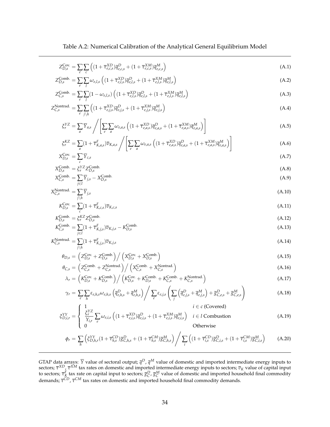Table A.2: Numerical Calibration of the Analytical General Equilibrium Model

$$
Z_{D,s}^{\text{Cov.}} = \sum_{e} \sum_{c} \left( (1 + \overline{\tau}_{e,c,s}^{\text{XD}}) \overline{q}_{e,c,s}^{D} + (1 + \overline{\tau}_{e,c,s}^{\text{XM}}) \overline{q}_{e,c,s}^{M} \right)
$$
(A.1)

$$
Z_{D,s}^{\text{Comb.}} = \sum_{e} \sum_{l} \omega_{e,l,s} \left( (1 + \overline{\tau}_{e,l,s}^{XD}) \overline{q}_{e,l,s}^{D} + (1 + \overline{\tau}_{e,l,s}^{XM}) \overline{q}_{e,l,s}^{M} \right) \tag{A.2}
$$

$$
Z_{C,s}^{\text{Comb.}} = \sum_{e} \sum_{l} (1 - \omega_{e,l,s}) \left( (1 + \overline{\tau}_{e,l,s}^{XD}) \overline{q}_{e,l,s}^{D} + (1 + \overline{\tau}_{e,l,s}^{XM}) \overline{q}_{e,l,s}^{M} \right)
$$
(A.3)

$$
Z_{C,s}^{\text{Nontrad.}} = \sum_{e} \sum_{j \backslash h} \left( (1 + \overline{\tau}_{e,j,s}^{XD}) \overline{q}_{e,j,s}^D + (1 + \overline{\tau}_{e,j,s}^{XM}) \overline{q}_{e,j,s}^M \right) \tag{A.4}
$$

$$
\xi_r^{YZ} = \sum_a \overline{Y}_{a,s} / \left[ \sum_e \sum_a \omega_{e,a,s} \left( (1 + \overline{\tau}_{e,a,s}^{XD}) \overline{q}_{e,a,s}^D + (1 + \overline{\tau}_{e,a,s}^{XM}) \overline{q}_{e,a,s}^M \right) \right]
$$
(A.5)

$$
\xi_r^{KZ} = \sum_a (1 + \overline{\tau}_{K,a,s}^F) \overline{v}_{K,a,s} / \left[ \sum_e \sum_a \omega_{e,a,s} \left( (1 + \overline{\tau}_{e,a,s}^{XD}) \overline{q}_{e,a,s}^D + (1 + \overline{\tau}_{e,a,s}^{XM}) \overline{q}_{e,a,s}^M \right) \right]
$$
(A.6)

$$
X_{D,s}^{\text{Cov.}} = \sum_{c} \overline{Y}_{c,s} \tag{A.7}
$$

$$
X_{D,s}^{\text{Comb.}} = \xi_r^{\text{YZ}} Z_{D,s}^{\text{Comb.}} X_{C,s}^{\text{Comb.}} = \sum_{i \in I} \overline{Y}_{j,s} - X_{D,s}^{\text{Comb.}}
$$
(A.9)

$$
X_{C,s}^{\text{Nontrad.}} = \sum_{j \backslash h} \overline{Y}_{j,s} \tag{A.10}
$$

$$
K_{D,s}^{\text{Cov.}} = \sum_{c} (1 + \overline{\tau}_{K,c,s}^F) \overline{v}_{K,c,s}
$$
(A.11)

$$
K_{D,s}^{\text{Comb.}} = \xi_r^{KZ} Z_{D,s}^{\text{Comb.}} \tag{A.12}
$$

$$
K_{C,s}^{\text{Comb.}} = \sum_{j \in I} (1 + \overline{\tau}_{K,j,s}^F) \overline{v}_{K,j,s} - K_{D,s}^{\text{Comb.}} \tag{A.13}
$$

$$
K_{C,s}^{\text{Nontrad.}} = \sum_{j \backslash h} (1 + \overline{\tau}_{K,j,s}^F) \overline{v}_{K,j,s}
$$
\n(A.14)

$$
\theta_{D,s} = \left(Z_{D,s}^{\text{Cov.}} + Z_{D,s}^{\text{Comb.}}\right) / \left(X_{D,s}^{\text{Cov.}} + X_{D,s}^{\text{Comb.}}\right)
$$
\n(A.15)

$$
\theta_{C,s} = \left( Z_{C,s}^{\text{Comb.}} + Z_{C,s}^{\text{Nontrad.}} \right) / \left( X_{C,s}^{\text{Comb.}} + X_{C,s}^{\text{Nontrad.}} \right)
$$
\n(A.16)

$$
\lambda_r = \left( K_{D,s}^{\text{Cov.}} + K_{D,s}^{\text{Comb.}} \right) / \left( K_{D,s}^{\text{Cov.}} + K_{D,s}^{\text{Comb.}} + K_{C,s}^{\text{Comb.}} + K_{C,s}^{\text{Nontrad.}} \right)
$$
\n(A.17)

$$
\gamma_r = \sum_{e} \sum_{h} \varepsilon_{e,h,s} \omega_{e,h,s} \left( \overline{q}_{e,h,s}^D + \overline{q}_{e,h,s}^M \right) / \sum_{e} \varepsilon_{e,j,s} \left( \sum_{j} \left( \overline{q}_{e,j,s}^D + \overline{q}_{e,j,s}^M \right) + \overline{g}_{C,e,s}^D + \overline{g}_{C,e,s}^M \right)
$$
(A.18)

$$
\xi_{D,i,r}^{YY} = \begin{cases} \frac{\xi_r^{YZ}}{Y_{i,r}} \sum_e \omega_{e,i,s} \left( (1 + \overline{\tau}_{e,i,s}^{XD}) \overline{q}_{e,i,s}^D + (1 + \overline{\tau}_{e,i,s}^{XM}) \overline{q}_{e,i,s}^M \right) & i \in l \text{ Combustion} \\ 0 & \text{Otherwise} \end{cases}
$$
(A.19)

$$
\phi_r = \sum_h \left( \xi_{D,h,r}^{YY}(1 + \overline{\tau}_{h,s}^{CD}) \overline{g}_{C,h,s}^D + (1 + \overline{\tau}_{h,s}^{CM}) \overline{g}_{C,h,s}^M \right) / \sum_i \left( (1 + \overline{\tau}_{i,s}^{CD}) \overline{g}_{C,i,s}^D + (1 + \overline{\tau}_{i,s}^{CM}) \overline{g}_{C,i,s}^M \right) \tag{A.20}
$$

GTAP data arrays:  $\overline{Y}$  value of sectoral output;  $\bar{q}^D$ ,  $\bar{q}^M$  value of domestic and imported intermediate energy inputs to sectors;  $\bar{\tau}^{XD}$ ,  $\bar{\tau}^{XM}$  tax rates on domestic and imported intermediate energy inputs to sectors;  $\bar{v}_K$  value of capital input to sectors;  $\bar{\tau}_K^F$  tax rate on capital input to sectors;  $\bar{g}_C^D$ ,  $\bar{g}_C^M$  value of domestic and imported household final commodity demands; *τ CD*, *τ CM* tax rates on domestic and imported household final commodity demands.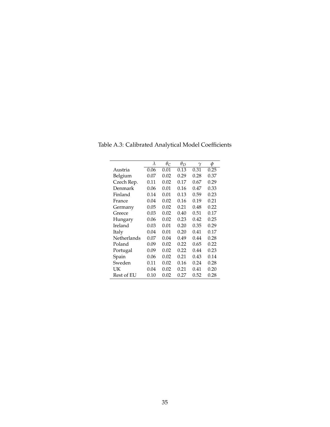|                    | $\lambda$ | $\theta_C$ | $\theta_D$ | $\gamma$ | ф    |
|--------------------|-----------|------------|------------|----------|------|
| Austria            | 0.06      | 0.01       | 0.13       | 0.31     | 0.25 |
| Belgium            | 0.07      | 0.02       | 0.29       | 0.28     | 0.37 |
| Czech Rep.         | 0.11      | 0.02       | 0.17       | 0.67     | 0.29 |
| Denmark            | 0.06      | 0.01       | 0.16       | 0.47     | 0.33 |
| Finland            | 0.14      | 0.01       | 0.13       | 0.59     | 0.23 |
| France             | 0.04      | 0.02       | 0.16       | 0.19     | 0.21 |
| Germany            | 0.05      | 0.02       | 0.21       | 0.48     | 0.22 |
| Greece             | 0.03      | 0.02       | 0.40       | 0.51     | 0.17 |
| Hungary            | 0.06      | 0.02       | 0.23       | 0.42     | 0.25 |
| Ireland            | 0.03      | 0.01       | 0.20       | 0.35     | 0.29 |
| Italy              | 0.04      | 0.01       | 0.20       | 0.41     | 0.17 |
| <b>Netherlands</b> | 0.07      | 0.04       | 0.49       | 0.44     | 0.28 |
| Poland             | 0.09      | 0.02       | 0.22       | 0.65     | 0.22 |
| Portugal           | 0.09      | 0.02       | 0.22       | 0.44     | 0.23 |
| Spain              | 0.06      | 0.02       | 0.21       | 0.43     | 0.14 |
| Sweden             | 0.11      | 0.02       | 0.16       | 0.24     | 0.28 |
| UК                 | 0.04      | 0.02       | 0.21       | 0.41     | 0.20 |
| Rest of EU         | 0.10      | 0.02       | 0.27       | 0.52     | 0.28 |

Table A.3: Calibrated Analytical Model Coefficients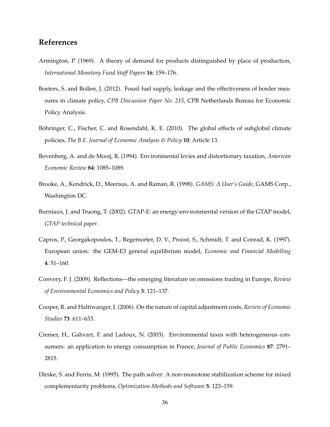# **References**

- Armington, P. (1969). A theory of demand for products distinguished by place of production, *International Monetary Fund Staff Papers* **16**: 159–176.
- Boeters, S. and Bollen, J. (2012). Fossil fuel supply, leakage and the effectiveness of border measures in climate policy, *CPB Discussion Paper No. 215*, CPB Netherlands Bureau for Economic Policy Analysis.
- Böhringer, C., Fischer, C. and Rosendahl, K. E. (2010). The global effects of subglobal climate policies, *The B.E. Journal of Economic Analysis & Policy* **10**: Article 13.
- Bovenberg, A. and de Mooij, R. (1994). Environmental levies and distortionary taxation, *American Economic Review* **84**: 1085–1089.
- Brooke, A., Kendrick, D., Meeraus, A. and Raman, R. (1998). *GAMS: A User's Guide*, GAMS Corp., Washington DC.
- Burniaux, J. and Truong, T. (2002). GTAP-E: an energy-environmental version of the GTAP model, *GTAP technical paper*.
- Capros, P., Georgakopoulos, T., Regemorter, D. V., Proost, S., Schmidt, T. and Conrad, K. (1997). European union: the GEM-E3 general equilibrium model, *Economic and Financial Modelling* **4**: 51–160.
- Convery, F. J. (2009). Reflections—the emerging literature on emissions trading in Europe, *Review of Environmental Economics and Policy* **3**: 121–137.
- Cooper, R. and Haltiwanger, J. (2006). On the nature of capital adjustment costs, *Review of Economic Studies* **73**: 611–633.
- Cremer, H., Gahvari, F. and Ladoux, N. (2003). Environmental taxes with heterogeneous consumers: an application to energy consumption in France, *Journal of Public Economics* **87**: 2791– 2815.
- Dirske, S. and Ferris, M. (1995). The path solver: A non-monotone stabilization scheme for mixed complementarity problems, *Optimization Methods and Software* **5**: 123–159.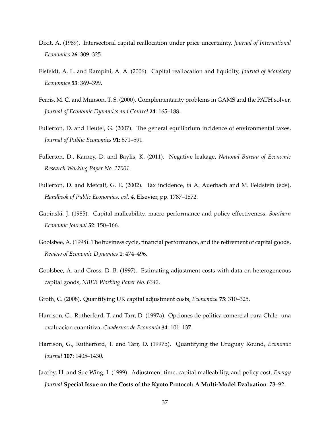- Dixit, A. (1989). Intersectoral capital reallocation under price uncertainty, *Journal of International Economics* **26**: 309–325.
- Eisfeldt, A. L. and Rampini, A. A. (2006). Capital reallocation and liquidity, *Journal of Monetary Economics* **53**: 369–399.
- Ferris, M. C. and Munson, T. S. (2000). Complementarity problems in GAMS and the PATH solver, *Journal of Economic Dynamics and Control* **24**: 165–188.
- Fullerton, D. and Heutel, G. (2007). The general equilibrium incidence of environmental taxes, *Journal of Public Economics* **91**: 571–591.
- Fullerton, D., Karney, D. and Baylis, K. (2011). Negative leakage, *National Bureau of Economic Research Working Paper No. 17001*.
- Fullerton, D. and Metcalf, G. E. (2002). Tax incidence, *in* A. Auerbach and M. Feldstein (eds), *Handbook of Public Economics, vol. 4*, Elsevier, pp. 1787–1872.
- Gapinski, J. (1985). Capital malleability, macro performance and policy effectiveness, *Southern Economic Journal* **52**: 150–166.
- Goolsbee, A. (1998). The business cycle, financial performance, and the retirement of capital goods, *Review of Economic Dynamics* **1**: 474–496.
- Goolsbee, A. and Gross, D. B. (1997). Estimating adjustment costs with data on heterogeneous capital goods, *NBER Working Paper No. 6342*.
- Groth, C. (2008). Quantifying UK capital adjustment costs, *Economica* **75**: 310–325.
- Harrison, G., Rutherford, T. and Tarr, D. (1997a). Opciones de politica comercial para Chile: una evaluacion cuantitiva, *Cuadernos de Economia* **34**: 101–137.
- Harrison, G., Rutherford, T. and Tarr, D. (1997b). Quantifying the Uruguay Round, *Economic Journal* **107**: 1405–1430.
- Jacoby, H. and Sue Wing, I. (1999). Adjustment time, capital malleability, and policy cost, *Energy Journal* **Special Issue on the Costs of the Kyoto Protocol: A Multi-Model Evaluation**: 73–92.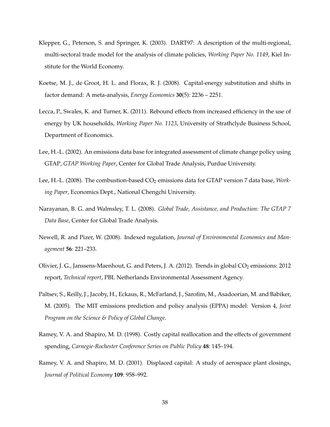- Klepper, G., Peterson, S. and Springer, K. (2003). DART97: A description of the multi-regional, multi-sectoral trade model for the analysis of climate policies, *Working Paper No. 1149*, Kiel Institute for the World Economy.
- Koetse, M. J., de Groot, H. L. and Florax, R. J. (2008). Capital-energy substitution and shifts in factor demand: A meta-analysis, *Energy Economics* **30**(5): 2236 – 2251.
- Lecca, P., Swales, K. and Turner, K. (2011). Rebound effects from increased efficiency in the use of energy by UK households, *Working Paper No. 1123*, University of Strathclyde Business School, Department of Economics.
- Lee, H.-L. (2002). An emissions data base for integrated assessment of climate change policy using GTAP, *GTAP Working Paper*, Center for Global Trade Analysis, Purdue University.
- Lee, H.-L. (2008). The combustion-based CO<sub>2</sub> emissions data for GTAP version 7 data base, *Working Paper*, Economics Dept., National Chengchi University.
- Narayanan, B. G. and Walmsley, T. L. (2008). *Global Trade, Assistance, and Production: The GTAP 7 Data Base*, Center for Global Trade Analysis.
- Newell, R. and Pizer, W. (2008). Indexed regulation, *Journal of Environmental Economics and Management* **56**: 221–233.
- Olivier, J. G., Janssens-Maenhout, G. and Peters, J. A. (2012). Trends in global CO<sub>2</sub> emissions: 2012 report, *Technical report*, PBL Netherlands Environmental Assessment Agency.
- Paltsev, S., Reilly, J., Jacoby, H., Eckaus, R., McFarland, J., Sarofim, M., Asadoorian, M. and Babiker, M. (2005). The MIT emissions prediction and policy analysis (EPPA) model: Version 4, *Joint Program on the Science & Policy of Global Change*.
- Ramey, V. A. and Shapiro, M. D. (1998). Costly capital reallocation and the effects of government spending, *Carnegie-Rochester Conference Series on Public Policy* **48**: 145–194.
- Ramey, V. A. and Shapiro, M. D. (2001). Displaced capital: A study of aerospace plant closings, *Journal of Political Economy* **109**: 958–992.